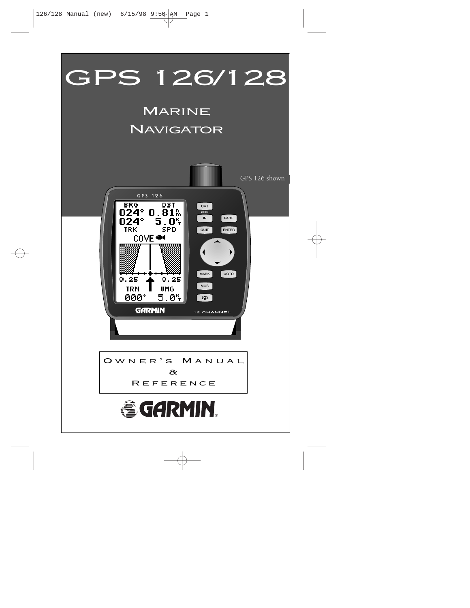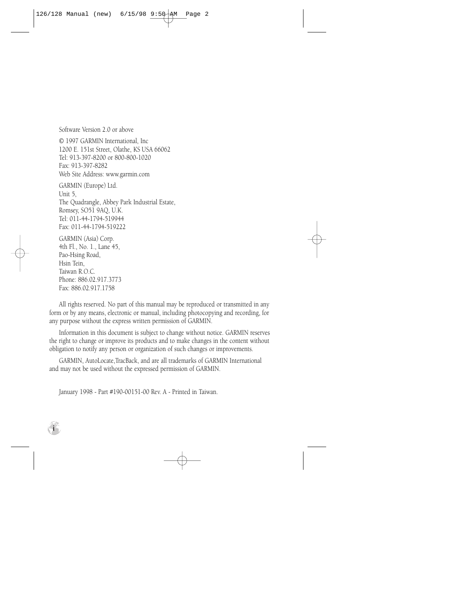Software Version 2.0 or above

© 1997 GARMIN International, Inc 1200 E. 151st Street, Olathe, KS USA 66062 Tel: 913-397-8200 or 800-800-1020 Fax: 913-397-8282 Web Site Address: www.garmin.com GARMIN (Europe) Ltd.

Unit 5, The Quadrangle, Abbey Park Industrial Estate, Romsey, SO51 9AQ, U.K. Tel: 011-44-1794-519944 Fax: 011-44-1794-519222

GARMIN (Asia) Corp. 4th Fl., No. 1., Lane 45, Pao-Hsing Road, Hsin Tein, Taiwan R.O.C. Phone: 886.02.917.3773 Fax: 886.02.917.1758

**i**

All rights reserved. No part of this manual may be reproduced or transmitted in any form or by any means, electronic or manual, including photocopying and recording, for any purpose without the express written permission of GARMIN.

Information in this document is subject to change without notice. GARMIN reserves the right to change or improve its products and to make changes in the content without obligation to notify any person or organization of such changes or improvements.

GARMIN, AutoLocate,TracBack, and are all trademarks of GARMIN International and may not be used without the expressed permission of GARMIN.

January 1998 - Part #190-00151-00 Rev. A - Printed in Taiwan.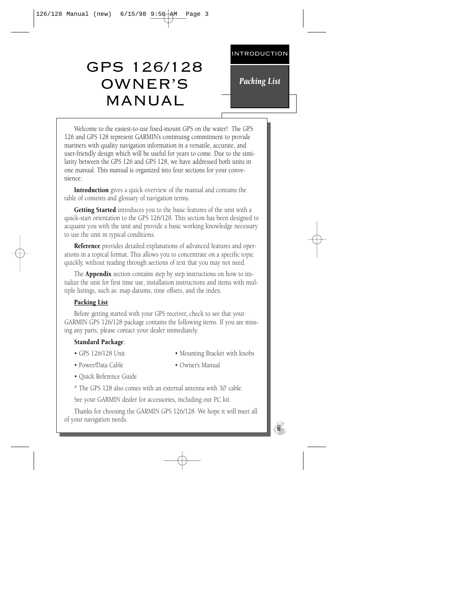# GPS 126/128 OWNER'S MANUAL

*Packing List*

Welcome to the easiest-to-use fixed-mount GPS on the water! The GPS 126 and GPS 128 represent GARMIN's continuing commitment to provide mariners with quality navigation information in a versatile, accurate, and user-friendly design which will be useful for years to come. Due to the similarity between the GPS 126 and GPS 128, we have addressed both units in one manual. This manual is organized into four sections for your convenience:

Introduction gives a quick overview of the manual and contains the table of contents and glossary of navigation terms.

Getting Started introduces you to the basic features of the unit with a quick-start orientation to the GPS 126/128. This section has been designed to acquaint you with the unit and provide a basic working knowledge necessary to use the unit in typical conditions.

**Reference** provides detailed explanations of advanced features and operations in a topical format. This allows you to concentrate on a specific topic quickly, without reading through sections of text that you may not need.

The **Appendix** section contains step by step instructions on how to initialize the unit for first time use, installation instructions and items with multiple listings, such as: map datums, time offsets, and the index.

# Packing List

Before getting started with your GPS receiver, check to see that your GARMIN GPS 126/128 package contains the following items. If you are missing any parts, please contact your dealer immediately.

# Standard Package:

- 
- GPS 126/128 Unit Mounting Bracket with knobs
- Power/Data Cable • Owner's Manual
- 
- Quick Reference Guide
- \* The GPS 128 also comes with an external antenna with 30' cable.

See your GARMIN dealer for accessories, including our PC kit.

Thanks for choosing the GARMIN GPS 126/128. We hope it will meet all of your navigation needs.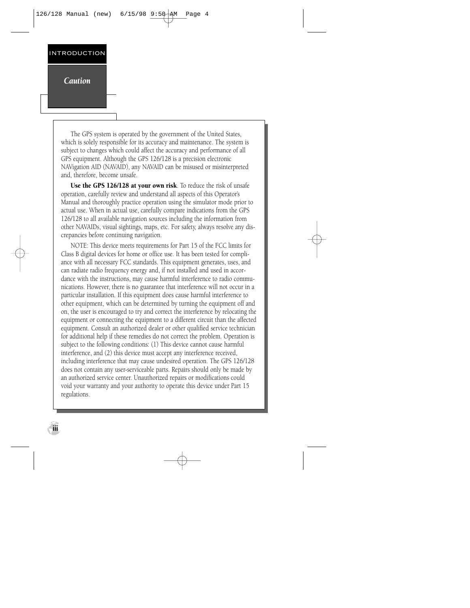*Caution*

**iii**

The GPS system is operated by the government of the United States, which is solely responsible for its accuracy and maintenance. The system is subject to changes which could affect the accuracy and performance of all GPS equipment. Although the GPS 126/128 is a precision electronic NAVigation AID (NAVAID), any NAVAID can be misused or misinterpreted and, therefore, become unsafe.

Use the GPS 126/128 at your own risk. To reduce the risk of unsafe operation, carefully review and understand all aspects of this Operator's Manual and thoroughly practice operation using the simulator mode prior to actual use. When in actual use, carefully compare indications from the GPS 126/128 to all available navigation sources including the information from other NAVAIDs, visual sightings, maps, etc. For safety, always resolve any discrepancies before continuing navigation.

NOTE: This device meets requirements for Part 15 of the FCC limits for Class B digital devices for home or office use. It has been tested for compliance with all necessary FCC standards. This equipment generates, uses, and can radiate radio frequency energy and, if not installed and used in accordance with the instructions, may cause harmful interference to radio communications. However, there is no guarantee that interference will not occur in a particular installation. If this equipment does cause harmful interference to other equipment, which can be determined by turning the equipment off and on, the user is encouraged to try and correct the interference by relocating the equipment or connecting the equipment to a different circuit than the affected equipment. Consult an authorized dealer or other qualified service technician for additional help if these remedies do not correct the problem. Operation is subject to the following conditions: (1) This device cannot cause harmful interference, and (2) this device must accept any interference received, including interference that may cause undesired operation. The GPS 126/128 does not contain any user-serviceable parts. Repairs should only be made by an authorized service center. Unauthorized repairs or modifications could void your warranty and your authority to operate this device under Part 15 regulations.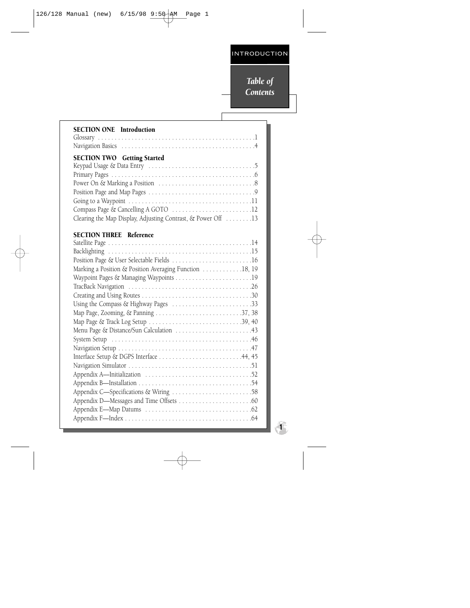# *Table of Contents*

 $\mathsf{l}$ 

| <b>SECTION ONE</b> Introduction                                                                                                           |
|-------------------------------------------------------------------------------------------------------------------------------------------|
| <b>SECTION TWO</b> Getting Started<br>Compass Page & Cancelling A GOTO 12<br>Clearing the Map Display, Adjusting Contrast, & Power Off 13 |
| <b>SECTION THREE Reference</b><br>Position Page & User Selectable Fields 16                                                               |
| Marking a Position & Position Averaging Function 18, 19                                                                                   |
|                                                                                                                                           |
| Menu Page & Distance/Sun Calculation 43                                                                                                   |
| Interface Setup & DGPS Interface 44, 45                                                                                                   |
|                                                                                                                                           |

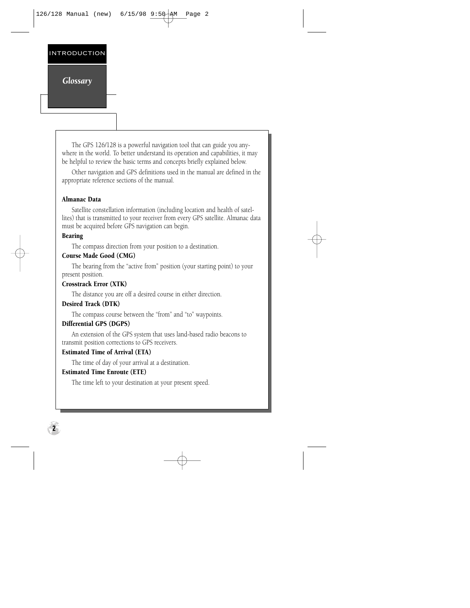# *Glossary*

The GPS 126/128 is a powerful navigation tool that can guide you anywhere in the world. To better understand its operation and capabilities, it may be helpful to review the basic terms and concepts briefly explained below.

Other navigation and GPS definitions used in the manual are defined in the appropriate reference sections of the manual.

# Almanac Data

Satellite constellation information (including location and health of satellites) that is transmitted to your receiver from every GPS satellite. Almanac data must be acquired before GPS navigation can begin.

# Bearing

**2**

The compass direction from your position to a destination.

# Course Made Good (CMG)

The bearing from the "active from" position (your starting point) to your present position.

# Crosstrack Error (XTK)

The distance you are off a desired course in either direction.

# Desired Track (DTK)

The compass course between the "from" and "to" waypoints.

# Differential GPS (DGPS)

An extension of the GPS system that uses land-based radio beacons to transmit position corrections to GPS receivers.

# Estimated Time of Arrival (ETA)

The time of day of your arrival at a destination.

# Estimated Time Enroute (ETE)

The time left to your destination at your present speed.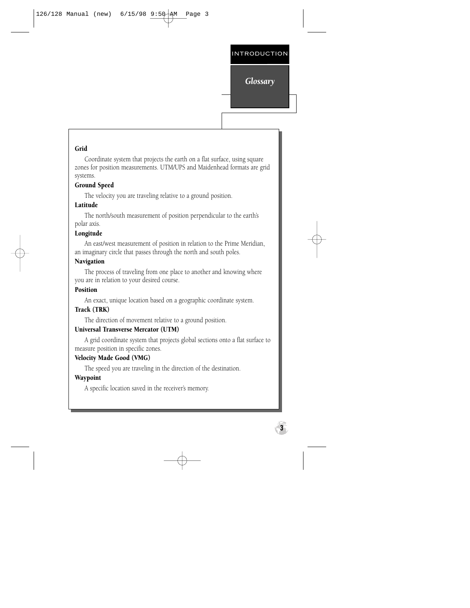# *Glossary*

**3**

#### Grid

Coordinate system that projects the earth on a flat surface, using square zones for position measurements. UTM/UPS and Maidenhead formats are grid systems.

#### Ground Speed

The velocity you are traveling relative to a ground position.

#### Latitude

The north/south measurement of position perpendicular to the earth's polar axis.

# Longitude

An east/west measurement of position in relation to the Prime Meridian, an imaginary circle that passes through the north and south poles.

#### Navigation

The process of traveling from one place to another and knowing where you are in relation to your desired course.

# Position

An exact, unique location based on a geographic coordinate system.

#### Track (TRK)

The direction of movement relative to a ground position.

#### Universal Transverse Mercator (UTM)

A grid coordinate system that projects global sections onto a flat surface to measure position in specific zones.

#### Velocity Made Good (VMG)

The speed you are traveling in the direction of the destination.

#### **Waypoint**

A specific location saved in the receiver's memory.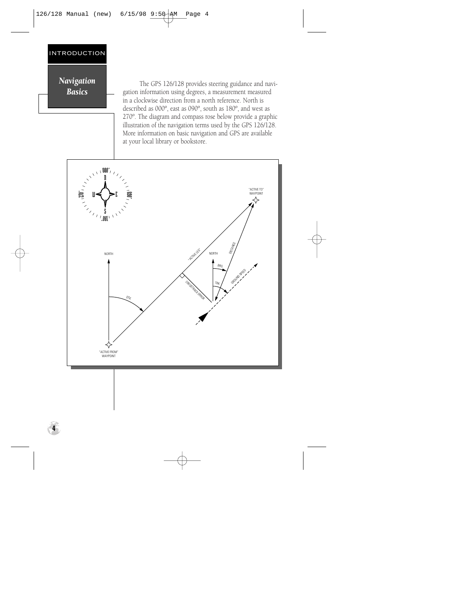# *Navigation Basics*

The GPS 126/128 provides steering guidance and navigation information using degrees, a measurement measured in a clockwise direction from a north reference. North is described as 000º, east as 090º, south as 180º, and west as 270º. The diagram and compass rose below provide a graphic illustration of the navigation terms used by the GPS 126/128. More information on basic navigation and GPS are available at your local library or bookstore.

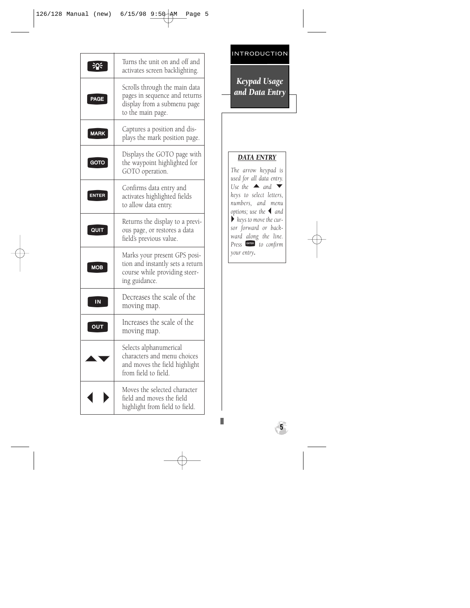|             | Turns the unit on and off and<br>activates screen backlighting.                                                    |
|-------------|--------------------------------------------------------------------------------------------------------------------|
| PAGE        | Scrolls through the main data<br>pages in sequence and returns<br>display from a submenu page<br>to the main page. |
| <b>MARK</b> | Captures a position and dis-<br>plays the mark position page.                                                      |
| GOTO        | Displays the GOTO page with<br>the waypoint highlighted for<br>GOTO operation.                                     |
| ENTER       | Confirms data entry and<br>activates highlighted fields<br>to allow data entry.                                    |
| QUIT        | Returns the display to a previ-<br>ous page, or restores a data<br>field's previous value.                         |
| <b>MOB</b>  | Marks your present GPS posi-<br>tion and instantly sets a return<br>course while providing steer-<br>ing guidance. |
| IN          | Decreases the scale of the<br>moving map.                                                                          |
| oui         | Increases the scale of the<br>moving map.                                                                          |
|             | Selects alphanumerical<br>characters and menu choices<br>and moves the field highlight<br>from field to field.     |
|             | Moves the selected character<br>field and moves the field<br>highlight from field to field.                        |

# *Keypad Usage and Data Entry*

# *DA TA ENTRY*

*The arrow keypad is used for all data entry.* Use the  $\triangle$  and  $\blacktriangledown$ *keys to select letters, numbers, and menu options; use the* L *and*  $\blacktriangleright$  keys to move the cur*sor forward or backward along the line. Press* F<sup>ores</sup> to confirm *your entry .*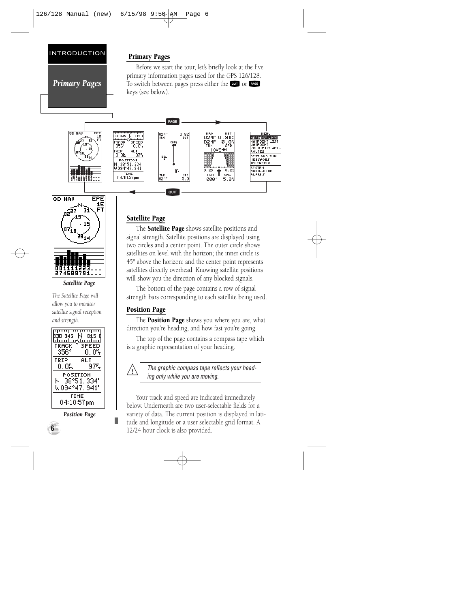*Primary Pages*

# Primary Pages

Before we start the tour, let's briefly look at the five primary information pages used for the GPS 126/128. To switch between pages press either the **QUIT** OT PAGE keys (see below).





*Satellite Page*

*The Satellite Page will allow you to monitor satellite signal reception and strength.*



*Position Page*

**6**

# Satellite Page

The **Satellite Page** shows satellite positions and signal strength. Satellite positions are displayed using two circles and a center point. The outer circle shows satellites on level with the horizon; the inner circle is 45º above the horizon; and the center point represents satellites directly overhead. Knowing satellite positions will show you the direction of any blocked signals.

The bottom of the page contains a row of signal strength bars corresponding to each satellite being used.

# Position Page

The **Position Page** shows you where you are, what direction you're heading, and how fast you're going.

The top of the page contains a compass tape which is a graphic representation of your heading.



The graphic compass tape reflects your heading only while you are moving.

Your track and speed are indicated immediately below. Underneath are two user-selectable fields for a variety of data. The current position is displayed in latitude and longitude or a user selectable grid format. A 12/24 hour clock is also provided.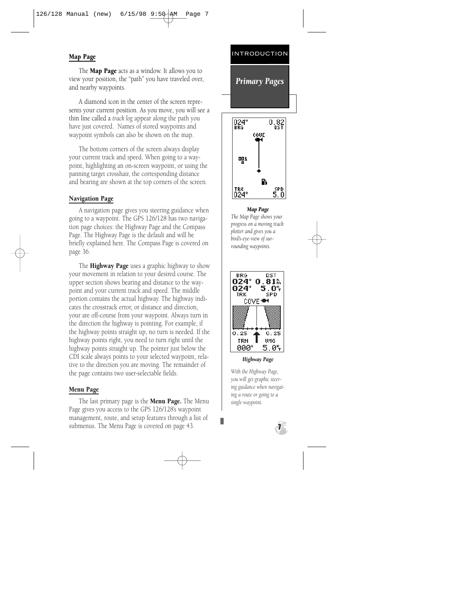# Map Page

The **Map Page** acts as a window. It allows you to view your position, the "path" you have traveled over, and nearby waypoints.

A diamond icon in the center of the screen represents your current position. As you move, you will see a thin line called a *track log* appear along the path you have just covered. Names of stored waypoints and waypoint symbols can also be shown on the map.

The bottom corners of the screen always display your current track and speed. When going to a waypoint, highlighting an on-screen waypoint, or using the panning target crosshair, the corresponding distance and bearing are shown at the top corners of the screen.

#### Navigation Page

A navigation page gives you steering guidance when going to a waypoint. The GPS 126/128 has two navigation page choices: the Highway Page and the Compass Page. The Highway Page is the default and will be briefly explained here. The Compass Page is covered on page 36.

The **Highway Page** uses a graphic highway to show your movement in relation to your desired course. The upper section shows bearing and distance to the waypoint and your current track and speed. The middle portion contains the actual highway. The highway indicates the crosstrack error, or distance and direction, your are off-course from your waypoint. Always turn in the direction the highway is pointing. For example, if the highway points straight up, no turn is needed. If the highway points right, you need to turn right until the highway points straight up. The pointer just below the CDI scale always points to your selected waypoint, relative to the direction you are moving. The remainder of the page contains two user-selectable fields.

#### Menu Page

The last primary page is the **Menu Page.** The Menu Page gives you access to the GPS 126/128's waypoint management, route, and setup features through a list of submenus. The Menu Page is covered on page 43. **7**

# **INTRODUCTION** *Primary Pages*



*Map Page The Map Page shows your progress on a moving track plotter and gives you a bird's-eye-view of surrounding waypoints.*



*Highway Page*

*With the Highway Page, you will get graphic steering guidance when navigating a route or going to a single waypoint.*

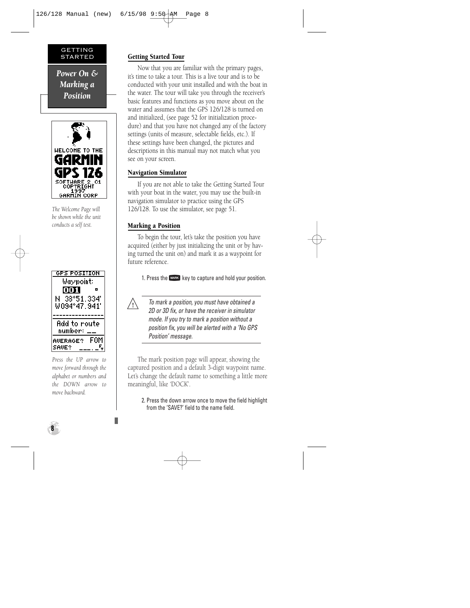#### GETTING STARTED

*Power On & Marking a Position*



*The Welcome Page will be shown while the unit conducts a self test.*



*Press the UP arrow to move forward through the alphabet or numbers and the DOWN arrow to move backward.*

# Getting Started Tour

Now that you are familiar with the primary pages, it's time to take a tour. This is a live tour and is to be conducted with your unit installed and with the boat in the water. The tour will take you through the receiver's basic features and functions as you move about on the water and assumes that the GPS 126/128 is turned on and initialized, (see page 52 for initialization procedure) and that you have not changed any of the factory settings (units of measure, selectable fields, etc.). If these settings have been changed, the pictures and descriptions in this manual may not match what you see on your screen.

# Navigation Simulator

If you are not able to take the Getting Started Tour with your boat in the water, you may use the built-in navigation simulator to practice using the GPS 126/128. To use the simulator, see page 51.

# Marking a Position

To begin the tour, let's take the position you have acquired (either by just initializing the unit or by having turned the unit on) and mark it as a waypoint for future reference.

1. Press the MARK key to capture and hold your position.



To mark a position, you must have obtained a 2D or 3D fix, or have the receiver in simulator mode. If you try to mark a position without a position fix, you will be alerted with a 'No GPS Position' message.

The mark position page will appear, showing the captured position and a default 3-digit waypoint name. Let's change the default name to something a little more meaningful, like 'DOCK'.

2. Press the down arrow once to move the field highlight from the 'SAVE?' field to the name field.

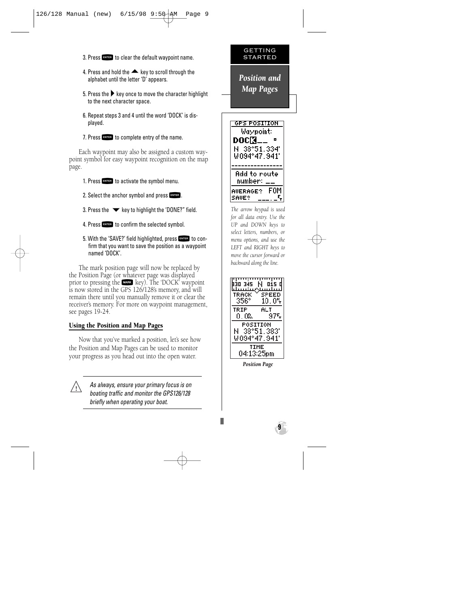- 3. Press Form to clear the default waypoint name.
- 4. Press and hold the  $\triangle$  key to scroll through the alphabet until the letter 'D' appears.
- 5. Press the  $\blacktriangleright$  key once to move the character highlight to the next character space.
- 6. Repeat steps 3 and 4 until the word 'DOCK' is displayed.
- 7. Press Form to complete entry of the name.

Each waypoint may also be assigned a custom waypoint symbol for easy waypoint recognition on the map page.

- 1. Press Form to activate the symbol menu.
- 2. Select the anchor symbol and press FINTER.
- 3. Press the  $\blacktriangledown$  key to highlight the 'DONE?" field.
- 4. Press Formal to confirm the selected symbol.
- 5. With the 'SAVE?' field highlighted, press Figual to con-<br>firm that you want to save the position as a waypoint named 'DOCK'.

The mark position page will now be replaced by the Position Page (or whatever page was displayed prior to pressing the Wass key). The 'DOCK' waypoint<br>is now stored in the GPS 126/128's memory, and will remain there until you manually remove it or clear the receiver's memory. For more on waypoint management, see pages 19-24.

# Using the Position and Map Pages

 $\sqrt{2}$ 

Now that you've marked a position, let's see how the Position and Map Pages can be used to monitor your progress as you head out into the open water.

> As always, ensure your primary focus is on boating traffic and monitor the GPS126/128 briefly when operating your boat.

# GETTING STARTED

*Position and Map Pages* 



*The arrow keypad is used for all data entry. Use the UP and DOWN keys to select letters, numbers, or menu options, and use the LEFT and RIGHT keys to move the cursor forward or backward along the line.*



*Position Page*

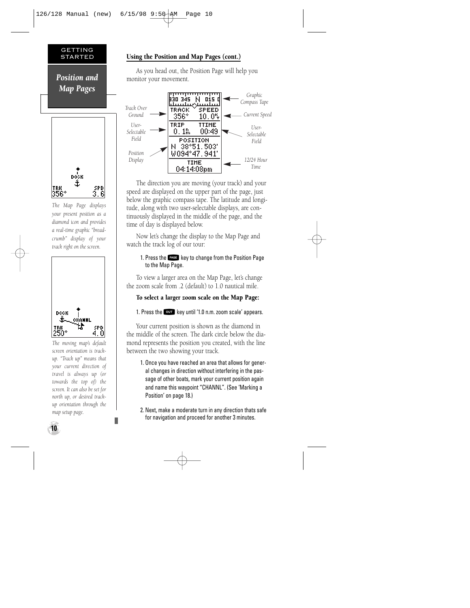#### GETTING STARTED

*Position and Map Pages*



*The Map Page displays your present position as a diamond icon and provides a real-time graphic "breadcrumb" display of your track right on the screen.*



*The moving map's default screen orientation is trackup. "Track up" means that your current direction of travel is always up (or towards the top of) the screen. It can also be set for north up, or desired trackup orientation through the map setup page.*

# Using the Position and Map Pages (cont.)

As you head out, the Position Page will help you monitor your movement.



The direction you are moving (your track) and your speed are displayed on the upper part of the page, just below the graphic compass tape. The latitude and longitude, along with two user-selectable displays, are continuously displayed in the middle of the page, and the time of day is displayed below.

Now let's change the display to the Map Page and watch the track log of our tour:

#### 1. Press the PAGE key to change from the Position Page to the Map Page.

To view a larger area on the Map Page, let's change the zoom scale from .2 (default) to 1.0 nautical mile.

# To select a larger zoom scale on the Map Page:

1. Press the  $\overline{\text{out}}$  key until '1.0 n.m. zoom scale' appears.

Your current position is shown as the diamond in the middle of the screen. The dark circle below the diamond represents the position you created, with the line between the two showing your track.

- 1. Once you have reached an area that allows for general changes in direction without interfering in the passage of other boats, mark your current position again and name this waypoint "CHANNL". (See 'Marking a Position' on page 18.)
- 2. Next, make a moderate turn in any direction thats safe for navigation and proceed for another 3 minutes.

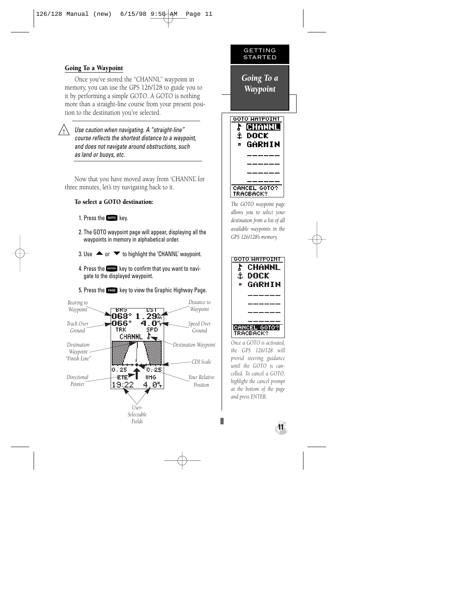# Going To a Waypoint

Once you've stored the "CHANNL" waypoint in memory, you can use the GPS 126/128 to guide you to it by performing a simple GOTO. A GOTO is nothing more than a straight-line course from your present position to the destination you've selected.

 $\sqrt{2}$ 

Use caution when navigating. A "straight-line" course reflects the shortest distance to a waypoint, and does not navigate around obstructions, such as land or buoys, etc.

Now that you have moved away from 'CHANNL' for three minutes, let's try navigating back to it.

# To select a GOTO destination:

- 1. Press the Goro key.
- 2. The GOTO waypoint page will appear, displaying all the waypoints in memory in alphabetical order.
- 3. Use  $\triangle$  or  $\blacktriangledown$  to highlight the 'CHANNL' waypoint.
- 4. Press the  $\blacksquare$  key to confirm that you want to navigate to the displayed waypoint.
- 5. Press the  $P^{\text{age}}$  key to view the Graphic Highway Page.



GETTING STARTED *Going To a Waypoint* GOTO HAYPOINT **CHANNL** 1 dock GARHIN CANCEL GOTO? **TRACBACK?** 

*The GOTO waypoint page allows you to select your destination from a list of all available waypoints in the GPS 126/128's memory.*



*Once a GOTO is activated, the GPS 126/128 will provid steering guidance until the GOTO is cancelled. To cancel a GOTO, highlight the cancel prompt at the bottom of the page and press ENTER.*

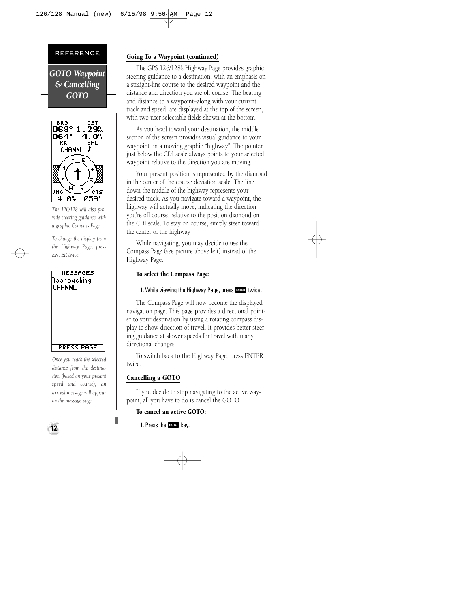*GOTO Waypoint & Cancelling GOTO*



*The 126/128 will also provide steering guidance with a graphic Compass Page.*

*To change the display from the Highway Page, press ENTER twice.*



*Once you reach the selected distance from the destination (based on your present speed and course), an arrival message will appear on the message page.*

# Going To a Waypoint (continued)

The GPS 126/128's Highway Page provides graphic steering guidance to a destination, with an emphasis on a straight-line course to the desired waypoint and the distance and direction you are off course. The bearing and distance to a waypoint–along with your current track and speed, are displayed at the top of the screen, with two user-selectable fields shown at the bottom.

As you head toward your destination, the middle section of the screen provides visual guidance to your waypoint on a moving graphic "highway". The pointer just below the CDI scale always points to your selected waypoint relative to the direction you are moving.

Your present position is represented by the diamond in the center of the course deviation scale. The line down the middle of the highway represents your desired track. As you navigate toward a waypoint, the highway will actually move, indicating the direction you're off course, relative to the position diamond on the CDI scale. To stay on course, simply steer toward the center of the highway.

While navigating, you may decide to use the Compass Page (see picture above left) instead of the Highway Page.

#### To select the Compass Page:

#### 1. While viewing the Highway Page, press FINTER twice.

The Compass Page will now become the displayed navigation page. This page provides a directional pointer to your destination by using a rotating compass display to show direction of travel. It provides better steering guidance at slower speeds for travel with many directional changes.

To switch back to the Highway Page, press ENTER twice.

# Cancelling a GOTO

If you decide to stop navigating to the active waypoint, all you have to do is cancel the GOTO.

# To cancel an active GOTO:

1. Press the Goro key.

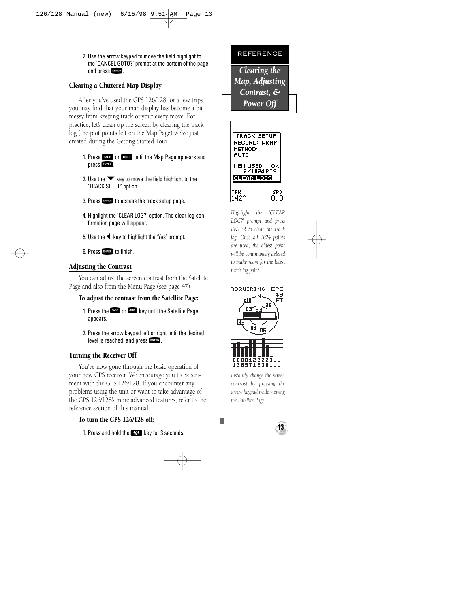2. Use the arrow keypad to move the field highlight to the 'CANCEL GOTO?' prompt at the bottom of the page and press FINTER.

# Clearing a Cluttered Map Display

After you've used the GPS 126/128 for a few trips, you may find that your map display has become a bit messy from keeping track of your every move. For practice, let's clean up the screen by clearing the track log (the plot points left on the Map Page) we've just created during the Getting Started Tour.

- 1. Press PAGE or **QUIT** until the Map Page appears and press FRITER.
- 2. Use the  $\blacktriangledown$  key to move the field highlight to the 'TRACK SETUP' option.
- 3. Press FNTER to access the track setup page.
- 4. Highlight the 'CLEAR LOG?' option. The clear log confirmation page will appear.
- 5. Use the  $\blacktriangleleft$  key to highlight the 'Yes' prompt.
- 6. Press Fourth to finish.

# Adjusting the Contrast

You can adjust the screen contrast from the Satellite Page and also from the Menu Page (see page 47)

# To adjust the contrast from the Satellite Page:

- 1. Press the EXGE or QUIT key until the Satellite Page appears.
- 2. Press the arrow keypad left or right until the desired level is reached, and press FRITER.

# Turning the Receiver Off

You've now gone through the basic operation of your new GPS receiver. We encourage you to experiment with the GPS 126/128. If you encounter any problems using the unit or want to take advantage of the GPS 126/128's more advanced features, refer to the reference section of this manual.

# To turn the GPS 126/128 off:

1. Press and hold the **PAL Key for 3 seconds.** 

#### REFERENCE

*Clearing the Map, Adjusting Contrast, & Power Off* 



*Highlight the 'CLEAR LOG?' prompt and press ENTER to clear the track log. Once all 1024 points are used, the oldest point will be continuously deleted to make room for the latest track log point.*



*Instantly change the screen contrast by pressing the arrow keypad while viewing the Satellite Page.*

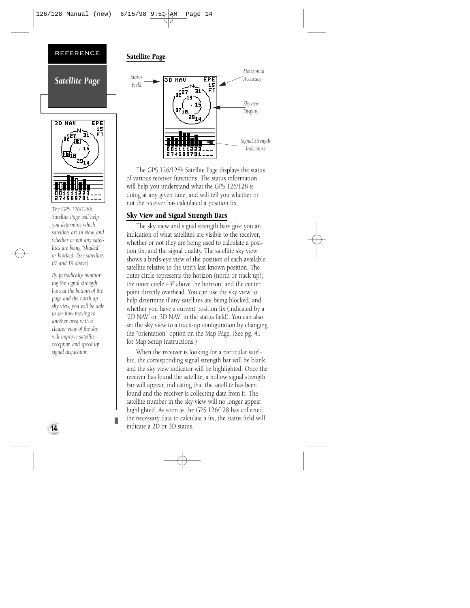

# 3D NAU FPE 15 274589791

*The GPS 126/128's Satellite Page will help you determine which satellites are in view, and whether or not any satellites are being "shaded" or blocked. (See satellites 07 and 19 above).*

*By periodically monitoring the signal strength bars at the bottom of the page and the north up sky view, you will be able to see how moving to another area with a clearer view of the sky will improve satellite reception and speed up signal acquisition.*

# Satellite Page



The GPS 126/128's Satellite Page displays the status of various receiver functions. The status information will help you understand what the GPS 126/128 is doing at any given time, and will tell you whether or not the receiver has calculated a position fix.

# Sky View and Signal Strength Bars

The sky view and signal strength bars give you an indication of what satellites are visible to the receiver, whether or not they are being used to calculate a position fix, and the signal quality. The satellite sky view shows a bird's-eye view of the position of each available satellite relative to the unit's last known position. The outer circle represents the horizon (north or track up); the inner circle 45º above the horizon; and the center point directly overhead. You can use the sky view to help determine if any satellites are being blocked, and whether you have a current position fix (indicated by a '2D NAV' or '3D NAV' in the status field). You can also set the sky view to a track-up configuration by changing the "orientation" option on the Map Page. (See pg. 41 for Map Setup instructions.)

When the receiver is looking for a particular satellite, the corresponding signal strength bar will be blank and the sky view indicator will be highlighted. Once the receiver has found the satellite, a hollow signal strength bar will appear, indicating that the satellite has been found and the receiver is collecting data from it. The satellite number in the sky view will no longer appear highlighted. As soon as the GPS 126/128 has collected the necessary data to calculate a fix, the status field will indicate a 2D or 3D status.

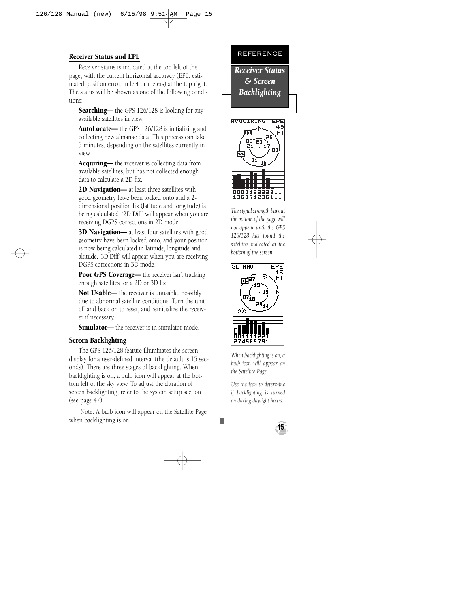# Receiver Status and EPE

Receiver status is indicated at the top left of the page, with the current horizontal accuracy (EPE, estimated position error, in feet or meters) at the top right. The status will be shown as one of the following conditions:

**Searching—** the GPS 126/128 is looking for any available satellites in view.

AutoLocate— the GPS 126/128 is initializing and collecting new almanac data. This process can take 5 minutes, depending on the satellites currently in view.

**Acquiring—** the receiver is collecting data from available satellites, but has not collected enough data to calculate a 2D fix.

**2D Navigation—** at least three satellites with good geometry have been locked onto and a 2 dimensional position fix (latitude and longitude) is being calculated. '2D Diff' will appear when you are receiving DGPS corrections in 2D mode.

**3D Navigation—** at least four satellites with good geometry have been locked onto, and your position is now being calculated in latitude, longitude and altitude. '3D Diff' will appear when you are receiving DGPS corrections in 3D mode.

Poor GPS Coverage— the receiver isn't tracking enough satellites for a 2D or 3D fix.

Not Usable— the receiver is unusable, possibly due to abnormal satellite conditions. Turn the unit off and back on to reset, and reinitialize the receiver if necessary.

**Simulator—** the receiver is in simulator mode.

# Screen Backlighting

The GPS 126/128 feature illuminates the screen display for a user-defined interval (the default is 15 seconds). There are three stages of backlighting. When backlighting is on, a bulb icon will appear at the bottom left of the sky view. To adjust the duration of screen backlighting, refer to the system setup section (see page 47).

Note: A bulb icon will appear on the Satellite Page when backlighting is on.



*Receiver Status & Screen Backlighting*



*The signal strength bars at the bottom of the page will not appear until the GPS 126/128 has found the satellites indicated at the bottom of the screen.*



*When backlighting is on, a bulb icon will appear on the Satellite Page.* 

*Use the icon to determine if backlighting is turned on during daylight hours.*

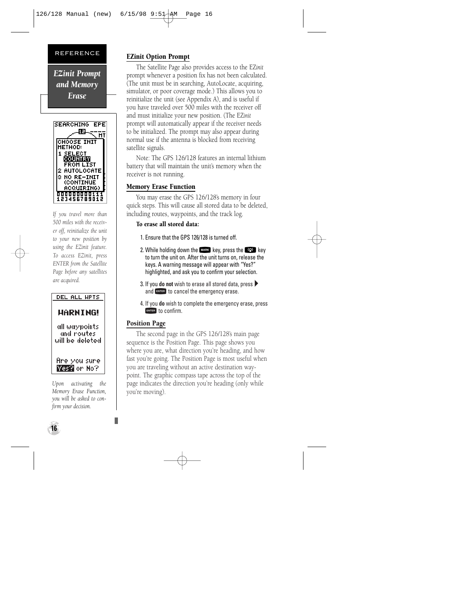*EZinit Prompt and Memory Erase*



*If you travel more than 500 miles with the receiver off, reinitialize the unit to your new position by using the EZinit feature. To access EZinit, press ENTER from the Satellite Page before any satellites are acquired.*

#### DEL ALL HPTS

# **HARNING!**

all waypoints. and routes will be deleted.

#### Are vou sure Wes? or No?

*Upon activating the Memory Erase Function, you will be asked to confirm your decision.*

# EZinit Option Prompt

The Satellite Page also provides access to the EZ*init* prompt whenever a position fix has not been calculated. (The unit must be in searching, AutoLocate, acquiring, simulator, or poor coverage mode.) This allows you to reinitialize the unit (see Appendix A), and is useful if you have traveled over 500 miles with the receiver off and must initialize your new position. (The EZ*init* prompt will automatically appear if the receiver needs to be initialized. The prompt may also appear during normal use if the antenna is blocked from receiving satellite signals.

Note: The GPS 126/128 features an internal lithium battery that will maintain the unit's memory when the receiver is not running.

# Memory Erase Function

You may erase the GPS 126/128's memory in four quick steps. This will cause all stored data to be deleted, including routes, waypoints, and the track log.

# To erase all stored data:

- 1. Ensure that the GPS 126/128 is turned off.
- 2. While holding down the Mkey, press the Pkey to turn the unit on. After the unit turns on, release the keys. A warning message will appear with "Yes?" highlighted, and ask you to confirm your selection.
- 3. If you **do not** wish to erase all stored data, press  $\blacktriangleright$ and **ENTER** to cancel the emergency erase.
- 4. If you **do** wish to complete the emergency erase, press  $F$ <sub>ENTER</sub>  $f_0$  confirm.

# Position Page

The second page in the GPS 126/128's main page sequence is the Position Page. This page shows you where you are, what direction you're heading, and how fast you're going. The Position Page is most useful when you are traveling without an active destination waypoint. The graphic compass tape across the top of the page indicates the direction you're heading (only while you're moving).

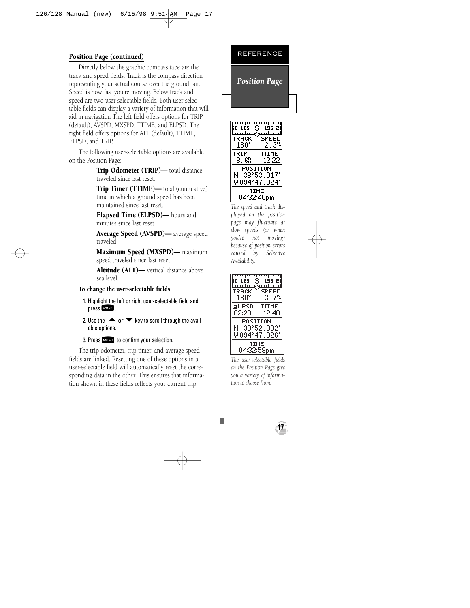# Position Page (continued)

Directly below the graphic compass tape are the track and speed fields. Track is the compass direction representing your actual course over the ground, and Speed is how fast you're moving. Below track and speed are two user-selectable fields. Both user selectable fields can display a variety of information that will aid in navigation The left field offers options for TRIP (default), AVSPD, MXSPD, TTIME, and ELPSD. The right field offers options for ALT (default), TTIME, ELPSD, and TRIP.

The following user-selectable options are available on the Position Page:

> Trip Odometer (TRIP)— total distance traveled since last reset.

Trip Timer (TTIME)— total (cumulative) time in which a ground speed has been maintained since last reset.

Elapsed Time (ELPSD)— hours and minutes since last reset.

Average Speed (AVSPD)— average speed traveled.

Maximum Speed (MXSPD)— maximum speed traveled since last reset.

Altitude (ALT)— vertical distance above sea level.

# To change the user-selectable fields

- 1. Highlight the left or right user-selectable field and press **ENTER**.
- 2. Use the  $\blacktriangle$  or  $\nabla$  key to scroll through the available options.

3. Press **ENTER** to confirm your selection.

The trip odometer, trip timer, and average speed fields are linked. Resetting one of these options in a user-selectable field will automatically reset the corresponding data in the other. This ensures that information shown in these fields reflects your current trip.



*Position Page*



*The speed and track displayed on the position page may fluctuate at slow speeds (or when you're not moving) because of position errors caused by Selective Availability.*



*The user-selectable fields on the Position Page give you a variety of information to choose from.*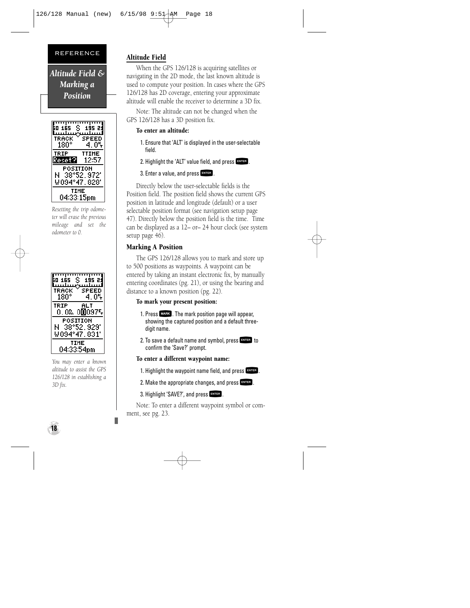*Altitude Field & Marking a Position*

| 60 165 S<br><b>TRACK</b><br>180° | 195 21<br>SPEED<br>- 05<br>4 |
|----------------------------------|------------------------------|
| TRIP<br>Reset?l                  | TTIHE<br>12:57               |
| POSITION<br>N<br>WO94°47.828'    | 38°52.972′                   |
| TIHE<br>04:33:15pm               |                              |

*Resetting the trip odometer will erase the previous mileage and set the odometer to 0.*



*You may enter a known altitude to assist the GPS 126/128 in establishing a 3D fix.*

**18**

# Altitude Field

When the GPS 126/128 is acquiring satellites or navigating in the 2D mode, the last known altitude is used to compute your position. In cases where the GPS 126/128 has 2D coverage, entering your approximate altitude will enable the receiver to determine a 3D fix.

Note: The altitude can not be changed when the GPS 126/128 has a 3D position fix.

#### To enter an altitude:

- 1. Ensure that 'ALT' is displayed in the user-selectable field.
- 2. Highlight the 'ALT' value field, and press  $F_{\text{MTER}}$ .
- 3. Enter a value, and press FNTER.

Directly below the user-selectable fields is the Position field. The position field shows the current GPS position in latitude and longitude (default) or a user selectable position format (see navigation setup page 47). Directly below the position field is the time. Time can be displayed as a 12– or– 24 hour clock (see system setup page 46).

# Marking A Position

The GPS 126/128 allows you to mark and store up to 500 positions as waypoints. A waypoint can be entered by taking an instant electronic fix, by manually entering coordinates (pg. 21), or using the bearing and distance to a known position (pg. 22).

# To mark your present position:

- 1. Press MARK . The mark position page will appear,<br>showing the captured position and a default threedigit name.
- 2. To save a default name and symbol, press  $F_{\text{MTE}}$  to confirm the 'Save?' prompt.

# To enter a different waypoint name:

- 1. Highlight the waypoint name field, and press  $F_{\text{excess}}$ .
- 2. Make the appropriate changes, and press  $F^{\text{max}}$ .<br>3. Highlight 'SAVE?', and press  $F^{\text{max}}$ .
- 

3. Highlight 'SAVE?', and press External.<br>Note: To enter a different waypoint symbol or comment, see pg. 23.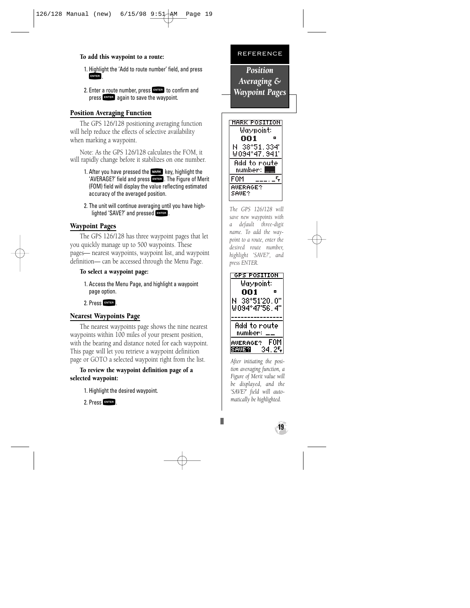# To add this waypoint to a route:

- 1. Highlight the 'Add to route number' field, and press **ENTER**
- 2. Enter a route number, press FNTER to confirm and press **ENTER** again to save the waypoint.

# Position Averaging Function

The GPS 126/128 positioning averaging function will help reduce the effects of selective availability when marking a waypoint.

Note: As the GPS 126/128 calculates the FOM, it will rapidly change before it stabilizes on one number.

- 1. After you have pressed the MARK key, highlight the<br>'AVERAGE?' field and press ENTER . The Figure of Merit' 'AVERAGE?' field and press ENTER . The Figure of Merit<br>(FOM) field will display the value reflecting estimated accuracy of the averaged position.
- 2. The unit will continue averaging until you have highlighted 'SAVE?' and pressed FNTER.

# Waypoint Pages

The GPS 126/128 has three waypoint pages that let you quickly manage up to 500 waypoints. These pages— nearest waypoints, waypoint list, and waypoint definition— can be accessed through the Menu Page.

# To select a waypoint page:

- 1. Access the Menu Page, and highlight a waypoint page option.
- 2. Press FNTER

# Nearest Waypoints Page

The nearest waypoints page shows the nine nearest waypoints within 100 miles of your present position, with the bearing and distance noted for each waypoint. This page will let you retrieve a waypoint definition page or GOTO a selected waypoint right from the list.

# To review the waypoint definition page of a selected waypoint:

1. Highlight the desired waypoint.

2. Press FNTER



*Position Averaging & Waypoint Pages*



*The GPS 126/128 will save new waypoints with a default three-digit name. To add the waypoint to a route, enter the desired route number, highlight 'SAVE?', and press ENTER.*



*After initiating the position averaging function, a Figure of Merit value will be displayed, and the 'SAVE?' field will automatically be highlighted.* 

**19**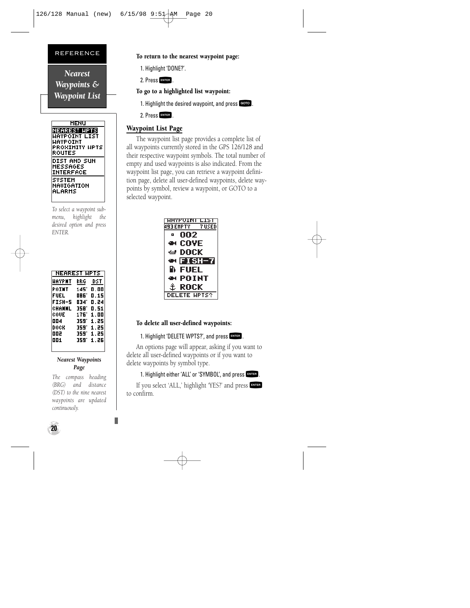*Nearest Waypoints & Waypoint List*

| <b>HENU</b>      |
|------------------|
| NEAREST HPTS     |
| HAYPOINT LIST    |
| UAYPOINT         |
| PROXIMITY HPTS   |
| ROUTES           |
| DIST AND SUN     |
| HESSAGES         |
| <b>INTERFACE</b> |
| SYSTEM           |
| NAVIGATION       |
| ALARMS           |
|                  |

*To select a waypoint submenu, highlight the desired option and press ENTER.*

| <b>NEAREST HPTS</b> |      |      |
|---------------------|------|------|
| HAYPNT              | BRG  | DST  |
| POINT               | 145  | 0.00 |
| FUEL                | 086. | 0.15 |
| FISH-5              | 034' | 0.24 |
| CHANNL              | 358. | 0.51 |
| ċóUE                | 176' | 1.00 |
| 004                 | 359' | 1.25 |
| DOCK                | 359. | 1.25 |
| ᇛ                   | 359. | 1.25 |
| 001                 | 359. | 1.26 |
|                     |      |      |

#### *Nearest Waypoints Page*

*The compass heading (BRG) and distance (DST) to the nine nearest waypoints are updated continuously.*

## To return to the nearest waypoint page:

1. Highlight 'DONE?'.

2. Press ENTER

To go to a highlighted list waypoint:

1. Highlight the desired waypoint, and press GOTO.

2. Press ENTER

# Waypoint List Page

The waypoint list page provides a complete list of all waypoints currently stored in the GPS 126/128 and their respective waypoint symbols. The total number of empty and used waypoints is also indicated. From the waypoint list page, you can retrieve a waypoint definition page, delete all user-defined waypoints, delete waypoints by symbol, review a waypoint, or GOTO to a selected waypoint.



# To delete all user-defined waypoints:

1. Highlight 'DELETE WPTS?', and press Extes<br>An options page will appear, asking if you want to delete all user-defined waypoints or if you want to delete waypoints by symbol type.

# 1. Highlight either 'ALL' or 'SYMBOL', and press FRYTER.

If you select 'ALL,' highlight 'YES?' and press F to confirm.

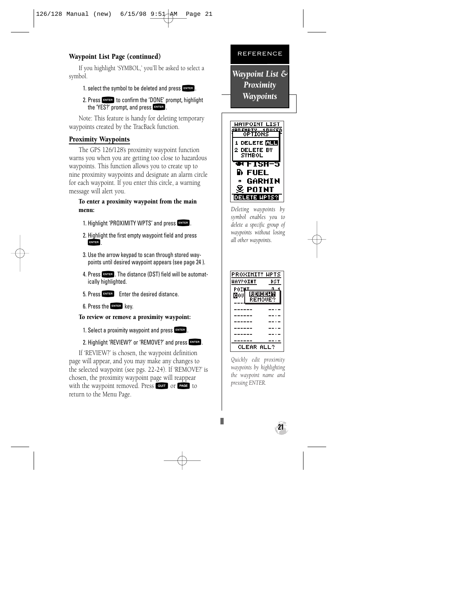# Waypoint List Page (continued)

If you highlight 'SYMBOL,' you'll be asked to select a symbol.

# 1. select the symbol to be deleted and press  $F_{\text{MTE}}$ .

2. Press FINTER to confirm the 'DONE' prompt, highlight the 'YES?' prompt, and press FRITER.

Note: This feature is handy for deleting temporary waypoints created by the TracBack function.

# Proximity Waypoints

The GPS 126/128's proximity waypoint function warns you when you are getting too close to hazardous waypoints. This function allows you to create up to nine proximity waypoints and designate an alarm circle for each waypoint. If you enter this circle, a warning message will alert you.

#### To enter a proximity waypoint from the main menu:

- 1. Highlight 'PROXIMITY WPTS' and press FNTER.
- 2. Highlight the first empty waypoint field and press ENTER
- 3. Use the arrow keypad to scan through stored waypoints until desired waypoint appears (see page 24 ).
- 4. Press ENTER . The distance (DST) field will be automatically highlighted.
- 5. Press FINER Foter the desired distance.
- 6. Press the FNTER key.

To review or remove a proximity waypoint:

1. Select a proximity waypoint and press FINTER.

# 2. Highlight 'REVIEW?' or 'REMOVE?' and press FATTER.

If 'REVIEW?' is chosen, the waypoint definition page will appear, and you may make any changes to the selected waypoint (see pgs. 22-24). If 'REMOVE?' is chosen, the proximity waypoint page will reappear with the waypoint removed. Press QUIT or PAGE to return to the Menu Page.



*Waypoint List & Proximity Waypoints*



*Deleting waypoints by symbol enables you to delete a specific group of waypoints without losing all other waypoints.*



*Quickly edit proximity waypoints by highlighting the waypoint name and pressing ENTER.* 

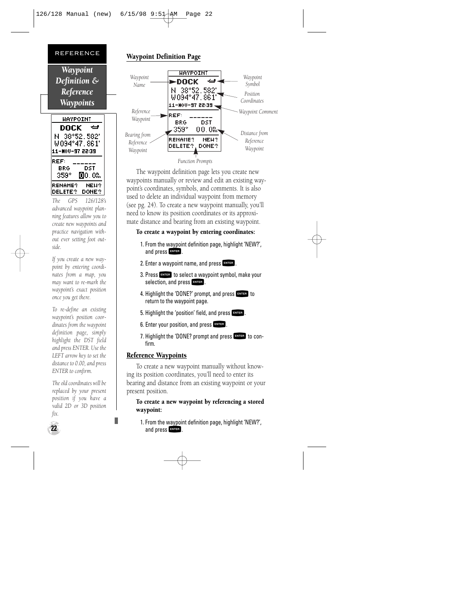

*The GPS 126/128's advanced waypoint planning features allow you to create new waypoints and practice navigation without ever setting foot outside.*

*If you create a new waypoint by entering coordinates from a map, you may want to re-mark the waypoint's exact position once you get there.* 

*To re-define an existing waypoint's position coordinates from the waypoint definition page, simply highlight the DST field and press ENTER. Use the LEFT arrow key to set the distance to 0.00, and press ENTER to confirm.*

*The old coordinates will be replaced by your present position if you have a valid 2D or 3D position fix.*

# Waypoint Definition Page



The waypoint definition page lets you create new waypoints manually or review and edit an existing waypoint's coordinates, symbols, and comments. It is also used to delete an individual waypoint from memory (see pg. 24). To create a new waypoint manually, you'll need to know its position coordinates or its approximate distance and bearing from an existing waypoint.

# To create a waypoint by entering coordinates:

- 1. From the waypoint definition page, highlight 'NEW?', and press FRITER.
- 2. Enter a waypoint name, and press ENTER.
- 3. Press **ENTER** to select a waypoint symbol, make your selection, and press **ENTER**.
- 4. Highlight the 'DONE?' prompt, and press FRITER to return to the waypoint page.
- 5. Highlight the 'position' field, and press FRTER.
- 6. Enter your position, and press **ENTER**.
- 7. Highlight the 'DONE? prompt and press FNTER to confirm.

# Reference Waypoints

To create a new waypoint manually without knowing its position coordinates, you'll need to enter its bearing and distance from an existing waypoint or your present position.

# To create a new waypoint by referencing a stored waypoint:

1. From the waypoint definition page, highlight 'NEW?', and press FRITER.

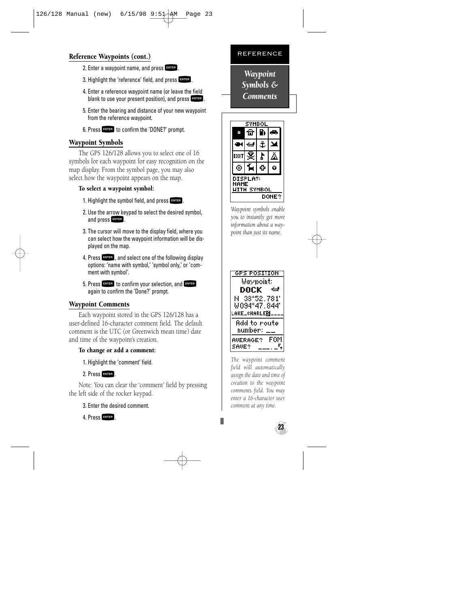# Reference Waypoints (cont.)

- 2. Enter a waypoint name, and press ENTER.
- 3. Highlight the 'reference' field, and press  $F_{\text{NTFR}}$ .
- 4. Enter a reference waypoint name (or leave the field blank to use your present position), and press FNTER
- 5. Enter the bearing and distance of your new waypoint from the reference waypoint.
- 6. Press FNTER to confirm the 'DONE?' prompt.

# Waypoint Symbols

The GPS 126/128 allows you to select one of 16 symbols for each waypoint for easy recognition on the map display. From the symbol page, you may also select how the waypoint appears on the map.

# To select a waypoint symbol:

- 1. Highlight the symbol field, and press  $F_{\text{NTE}}$ .
- 2. Use the arrow keypad to select the desired symbol, and press FNTER.
- 3. The cursor will move to the display field, where you can select how the waypoint information will be displayed on the map.
- 4. Press Filles, and select one of the following display<br>options: 'name with symbol,' 'symbol only,' or 'comment with symbol'.
- 5. Press **ENTER** to confirm your selection, and ENTER<br>again to confirm the 'Done?' prompt. again to confirm the 'Done?' prompt.

# Waypoint Comments

Each waypoint stored in the GPS 126/128 has a user-defined 16-character comment field. The default comment is the UTC (or Greenwich mean time) date and time of the waypoint's creation.

# To change or add a comment:

1. Highlight the 'comment' field.

2. Press FIII<br>Note: You can clear the 'comment' field by pressing the left side of the rocker keypad.

3. Enter the desired comment.

4. Press FATTER

# REFERENCE

*Waypoint Symbols & Comments*



*Waypoint symbols enable you to instantly get more information about a waypoint than just its name.*



*The waypoint comment field will automatically assign the date and time of creation to the waypoint comments field. You may enter a 16-character user comment at any time.*

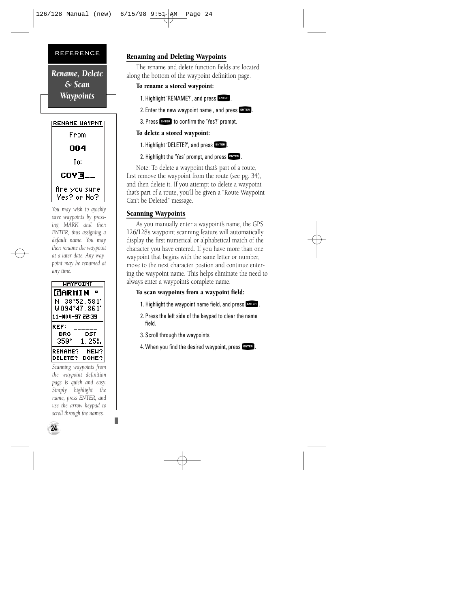*Rename, Delete & Scan Waypoints*



*You may wish to quickly save waypoints by pressing MARK and then ENTER, thus assigning a default name. You may then rename the waypoint at a later date. Any waypoint may be renamed at any time.*



*Scanning waypoints from the waypoint definition page is quick and easy. Simply highlight the name, press ENTER, and use the arrow keypad to scroll through the names.*

# Renaming and Deleting Waypoints

The rename and delete function fields are located along the bottom of the waypoint definition page.

#### To rename a stored waypoint:

- 1. Highlight 'RENAME?', and press ENTER.
- 2. Enter the new waypoint name, and press  $F_{\text{NTFR}}$ .
- 3. Press FATER to confirm the 'Yes?' prompt.

#### To delete a stored waypoint:

- 1. Highlight 'DELETE?', and press FRITER.
- 2. Highlight the 'Yes' prompt, and press FRYTER.

Note: To delete a waypoint that's part of a route, first remove the waypoint from the route (see pg. 34), and then delete it. If you attempt to delete a waypoint that's part of a route, you'll be given a "Route Waypoint Can't be Deleted" message.

# Scanning Waypoints

As you manually enter a waypoint's name, the GPS 126/128's waypoint scanning feature will automatically display the first numerical or alphabetical match of the character you have entered. If you have more than one waypoint that begins with the same letter or number, move to the next character postion and continue entering the waypoint name. This helps eliminate the need to always enter a waypoint's complete name.

#### To scan waypoints from a waypoint field:

- 1. Highlight the waypoint name field, and press  $F_{\text{ext}}$ .
- 2. Press the left side of the keypad to clear the name field.
- 3. Scroll through the waypoints.
- 4. When you find the desired waypoint, press FINTER.

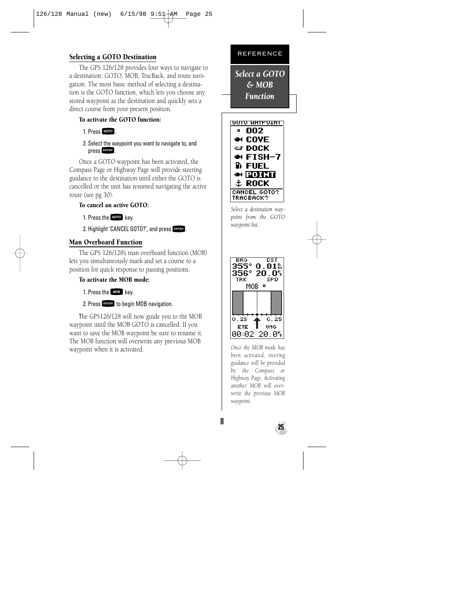# Selecting a GOTO Destination

The GPS 126/128 provides four ways to navigate to a destination: GOTO, MOB, TracBack, and route navigation. The most basic method of selecting a destination is the GOTO function, which lets you choose any stored waypoint as the destination and quickly sets a direct course from your present position.

# To activate the GOTO function:

#### 1. Press GOTO.

2. Select the waypoint you want to navigate to, and press FNTER.

Once a GOTO waypoint has been activated, the Compass Page or Highway Page will provide steering guidance to the destination until either the GOTO is cancelled or the unit has resumed navigating the active route (see pg 30).

# To cancel an active GOTO:

1. Press the Goro key.

2. Highlight 'CANCEL GOTO?', and press FNTER.

# Man Overboard Function

The GPS 126/128's man overboard function (MOB) lets you simultaneously mark and set a course to a position for quick response to passing positions.

# To activate the MOB mode:

1. Press the MOB key.

2. Press FNTER to begin MOB navigation.

The GPS126/128 will now guide you to the MOB waypoint until the MOB GOTO is cancelled. If you want to save the MOB waypoint be sure to rename it. The MOB function will overwrite any previous MOB waypoint when it is activated.

#### REFERENCE

*Select a GOTO & MOB Function*



*Select a destination waypoint from the GOTO waypoint list.*



*Once the MOB mode has been activated, steering guidance will be provided by the Compass or Highway Page. Activating another MOB will overwrite the previous MOB waypoint.*

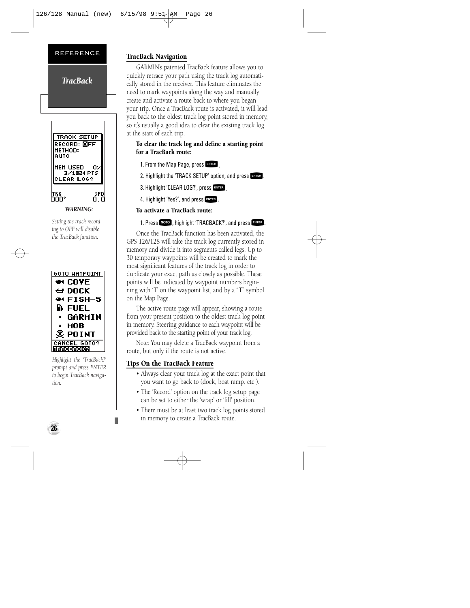*TracBack*

# **TRACK SETUP** RECORD: OFF інетнов: **AUTO** IHEH USED. Ο., 3/1024 PTS **CLEAR LOG?** |твк<br>000°

*WARNING:*

*Setting the track recording to OFF will disable the TracBack function.*



*Highlight the 'TracBack?' prompt and press ENTER to begin TracBack navigation.*

# TracBack Navigation

GARMIN's patented TracBack feature allows you to quickly retrace your path using the track log automatically stored in the receiver. This feature eliminates the need to mark waypoints along the way and manually create and activate a route back to where you began your trip. Once a TracBack route is activated, it will lead you back to the oldest track log point stored in memory, so it's usually a good idea to clear the existing track log at the start of each trip.

# To clear the track log and define a starting point for a TracBack route:

1. From the Map Page, press

2. Highlight the 'TRACK SETUP' option, and press FRYTER.

3. Highlight 'CLEAR LOG?', press FRYTHR

4. Highlight 'Yes?', and press FRITER.

# To activate a TracBack route:

1. Press GOTO, highlight 'TRACBACK?', and press FATER.

Once the TracBack function has been activated, the GPS 126/128 will take the track log currently stored in memory and divide it into segments called legs. Up to 30 temporary waypoints will be created to mark the most significant features of the track log in order to duplicate your exact path as closely as possible. These points will be indicated by waypoint numbers beginning with 'T' on the waypoint list, and by a "T" symbol on the Map Page.

The active route page will appear, showing a route from your present position to the oldest track log point in memory. Steering guidance to each waypoint will be provided back to the starting point of your track log.

Note: You may delete a TracBack waypoint from a route, but only if the route is not active.

# Tips On the TracBack Feature

- Always clear your track log at the exact point that you want to go back to (dock, boat ramp, etc.).
- The 'Record' option on the track log setup page can be set to either the 'wrap' or 'fill' position.
- There must be at least two track log points stored in memory to create a TracBack route.

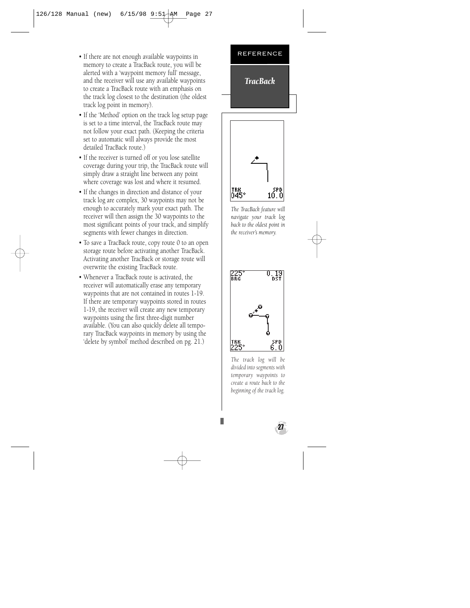- If there are not enough available waypoints in memory to create a TracBack route, you will be alerted with a 'waypoint memory full' message, and the receiver will use any available waypoints to create a TracBack route with an emphasis on the track log closest to the destination (the oldest track log point in memory).
- If the 'Method' option on the track log setup page is set to a time interval, the TracBack route may not follow your exact path. (Keeping the criteria set to automatic will always provide the most detailed TracBack route.)
- If the receiver is turned off or you lose satellite coverage during your trip, the TracBack route will simply draw a straight line between any point where coverage was lost and where it resumed.
- If the changes in direction and distance of your track log are complex, 30 waypoints may not be enough to accurately mark your exact path. The receiver will then assign the 30 waypoints to the most significant points of your track, and simplify segments with fewer changes in direction.
- To save a TracBack route, copy route 0 to an open storage route before activating another TracBack. Activating another TracBack or storage route will overwrite the existing TracBack route.
- Whenever a TracBack route is activated, the receiver will automatically erase any temporary waypoints that are not contained in routes 1-19. If there are temporary waypoints stored in routes 1-19, the receiver will create any new temporary waypoints using the first three-digit number available. (You can also quickly delete all temporary TracBack waypoints in memory by using the 'delete by symbol' method described on pg. 21.)

# REFERENCE *TracBack*



*The TracBack feature will navigate your track log back to the oldest point in the receiver's memory.*



*The track log will be divided into segments with temporary waypoints to create a route back to the beginning of the track log.*

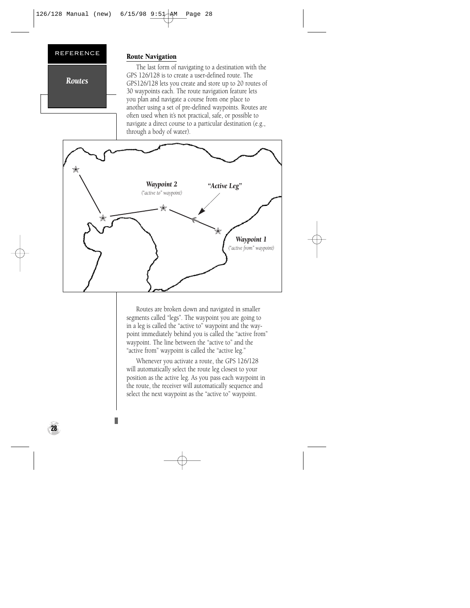*Routes*

# Route Navigation

The last form of navigating to a destination with the GPS 126/128 is to create a user-defined route. The GPS126/128 lets you create and store up to 20 routes of 30 waypoints each. The route navigation feature lets you plan and navigate a course from one place to another using a set of pre-defined waypoints. Routes are often used when it's not practical, safe, or possible to navigate a direct course to a particular destination (e.g., through a body of water).



Routes are broken down and navigated in smaller segments called "legs". The waypoint you are going to in a leg is called the "active to" waypoint and the waypoint immediately behind you is called the "active from" waypoint. The line between the "active to" and the "active from" waypoint is called the "active leg."

Whenever you activate a route, the GPS 126/128 will automatically select the route leg closest to your position as the active leg. As you pass each waypoint in the route, the receiver will automatically sequence and select the next waypoint as the "active to" waypoint.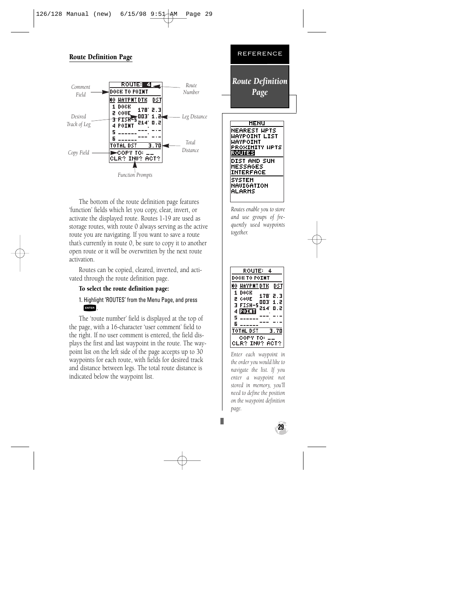# Route Definition Page



The bottom of the route definition page features 'function' fields which let you copy, clear, invert, or activate the displayed route. Routes 1-19 are used as storage routes, with route 0 always serving as the active route you are navigating. If you want to save a route that's currently in route 0, be sure to copy it to another open route or it will be overwritten by the next route activation.

Routes can be copied, cleared, inverted, and activated through the route definition page.

#### To select the route definition page:

# 1. Highlight 'ROUTES' from the Menu Page, and press

**FRIGE 1**<br>The 'route number' field is displayed at the top of the page, with a 16-character 'user comment' field to the right. If no user comment is entered, the field displays the first and last waypoint in the route. The waypoint list on the left side of the page accepts up to 30 waypoints for each route, with fields for desired track and distance between legs. The total route distance is indicated below the waypoint list.

*Page* **HENU** NEAREST HPTS HAYPOINT LIST HAYPOINT **PROXIMITY HPTS ROUTES** DIST AND SUN **HESSAGES** INTERFACE SYSTEM NAUIGATION **ALARMS** 

REFERENCE

*Route Definition*

*Routes enable you to store and use groups of frequently used waypoints together.*



*Enter each waypoint in the order you would like to navigate the list. If you enter a waypoint not stored in memory, you'll need to define the position on the waypoint definition page.*

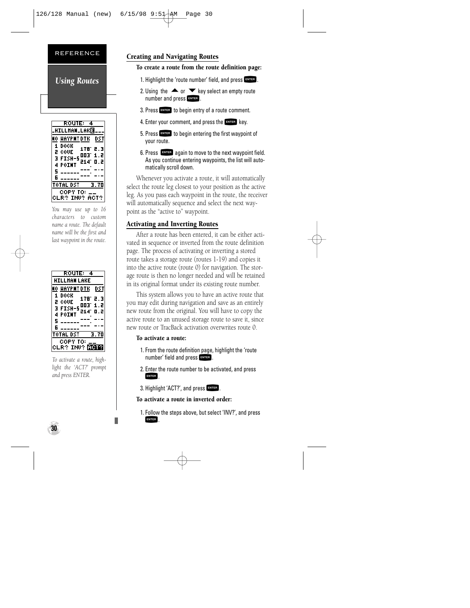*Using Routes*



*You may use up to 16 characters to custom name a route. The default name will be the first and last waypoint in the route.*

|   | <b>ROUTE:</b><br>4    |      |
|---|-----------------------|------|
|   | HILLMAN LAKE          |      |
|   | HAYPNT DTK            | DST  |
| 1 | DOCK<br>178°          | 2.3  |
| 2 | COUE<br>003.          | 1.2  |
| Е | <b>FISH-5</b><br>214' | 0.2  |
| 4 | POINT                 |      |
| 5 |                       |      |
| Б |                       |      |
|   | TOTAL DST             | 3.70 |
|   | TO:<br>COPY.          |      |
|   | LR? INV?              | ACT? |

*To activate a route, highlight the 'ACT?' prompt and press ENTER.*

**30**

# Creating and Navigating Routes

#### To create a route from the route definition page:

- 1. Highlight the 'route number' field, and press  $F_{\text{inter}}$ .
- 2. Using the  $\blacktriangle$  or  $\nabla$  key select an empty route number and press FNTER.
- 3. Press FINTER to begin entry of a route comment.
- 4. Enter your comment, and press the  $E_{\text{NTER}}$  key.
- 5. Press ENTER to begin entering the first waypoint of your route.
- 6. Press Fagain to move to the next waypoint field. As you continue entering waypoints, the list will automatically scroll down.

Whenever you activate a route, it will automatically select the route leg closest to your position as the active leg. As you pass each waypoint in the route, the receiver will automatically sequence and select the next waypoint as the "active to" waypoint.

# Activating and Inverting Routes

After a route has been entered, it can be either activated in sequence or inverted from the route definition page. The process of activating or inverting a stored route takes a storage route (routes 1-19) and copies it into the active route (route 0) for navigation. The storage route is then no longer needed and will be retained in its original format under its existing route number.

This system allows you to have an active route that you may edit during navigation and save as an entirely new route from the original. You will have to copy the active route to an unused storage route to save it, since new route or TracBack activation overwrites route 0.

#### To activate a route:

- 1. From the route definition page, highlight the 'route number' field and press FNTER.
- 2. Enter the route number to be activated, and press ENTER
- 3. Highlight 'ACT?', and press FNTER.

#### To activate a route in inverted order:

1. Follow the steps above, but select 'INV?', and press **ENTER**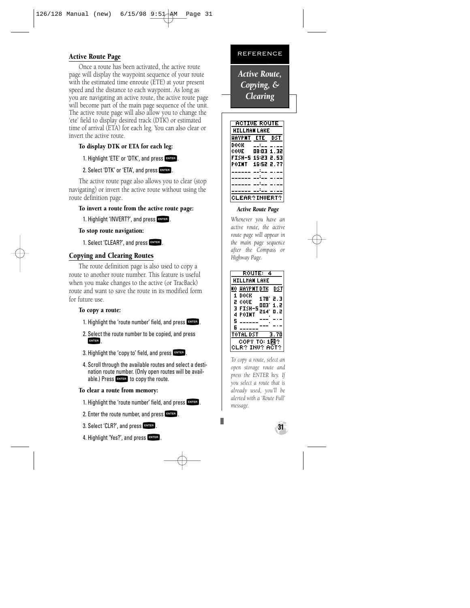# Active Route Page

Once a route has been activated, the active route page will display the waypoint sequence of your route with the estimated time enroute (ETE) at your present speed and the distance to each waypoint. As long as you are navigating an active route, the active route page will become part of the main page sequence of the unit. The active route page will also allow you to change the 'ete' field to display desired track (DTK) or estimated time of arrival (ETA) for each leg. You can also clear or invert the active route.

# To display DTK or ETA for each leg:

1. Highlight 'ETE' or 'DTK', and press FATER.

# 2. Select 'DTK' or 'ETA', and press FRITER.

The active route page also allows you to clear (stop navigating) or invert the active route without using the route definition page.

# To invert a route from the active route page:

1. Highlight 'INVERT?', and press FATER.

# To stop route navigation:

1. Select 'CLEAR?', and press FNTER.

# Copying and Clearing Routes

The route definition page is also used to copy a route to another route number. This feature is useful when you make changes to the active (or TracBack) route and want to save the route in its modified form for future use.

# To copy a route:

- 1. Highlight the 'route number' field, and press ENTER.
- 2. Select the route number to be copied, and press ENTER
- 3. Highlight the 'copy to' field, and press  $F_{\text{NTE}}$ .
- 4. Scroll through the available routes and select a destination route number. (Only open routes will be available.) Press FNTER to copy the route.

# To clear a route from memory:

- 1. Highlight the 'route number' field, and press  $F_{\text{inter}}$ .
- 2. Enter the route number, and press  $F$ .
- 3. Select 'CLR?', and press FATTER.
- 4. Highlight 'Yes?', and press FRTER.

# REFERENCE

*Active Route, Copying, & Clearing*

| <b>ACTIVE ROUTE</b> |              |     |
|---------------------|--------------|-----|
| HILLMAN LAKE        |              |     |
| HAYPNT ETE          |              | DST |
| DOCK                | $-1$         |     |
| ċóUE                | 08:03 1.32   |     |
| FISH-5 15:23 2.53   |              |     |
| POINT               | 16:52 2.77   |     |
|                     | <del>.</del> |     |
|                     |              |     |
|                     | $\cdots$     |     |
|                     |              |     |
|                     | EAR?INUERT?  |     |

#### *Active Route Page*

*Whenever you have an active route, the active route page will appear in the main page sequence after the Compass or Highway Page.*



*To copy a route, select an open storage route and press the ENTER key. If you select a route that is already used, you'll be alerted with a 'Route Full' message.*

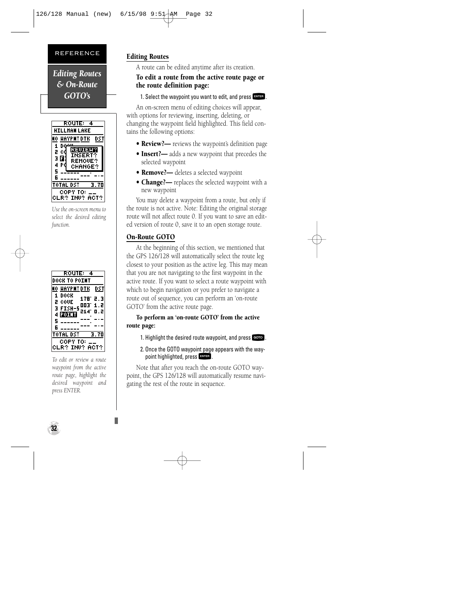*Editing Routes & On-Route GOTO's*



*Use the on-screen menu to select the desired editing function.*

| ROUTE: 4                                    |
|---------------------------------------------|
| DOCK TO POINT                               |
| DST<br>HAYPNT DTK                           |
| DOCK<br>1<br>178°2.3                        |
| 2<br>COUE<br>003' 1.2<br><b>FISH-5</b><br>э |
| 514.<br>o . 2<br>4 FOI T                    |
| 5                                           |
| Б                                           |
| TOTAL DST<br>3.70                           |
| COPY TO:                                    |
| LR? INV? ACT?                               |

*To edit or review a route waypoint from the active route page, highlight the desired waypoint and press ENTER.*

# Editing Routes

A route can be edited anytime after its creation.

# To edit a route from the active route page or the route definition page:

1. Select the waypoint you want to edit, and press FNTER.

An on-screen menu of editing choices will appear, with options for reviewing, inserting, deleting, or changing the waypoint field highlighted. This field contains the following options:

- **Review?—** reviews the waypoint's definition page
- Insert?— adds a new waypoint that precedes the selected waypoint
- **Remove?** deletes a selected waypoint
- Change?- replaces the selected waypoint with a new waypoint

You may delete a waypoint from a route, but only if the route is not active. Note: Editing the original storage route will not affect route 0. If you want to save an edited version of route 0, save it to an open storage route.

# On-Route GOTO

At the beginning of this section, we mentioned that the GPS 126/128 will automatically select the route leg closest to your position as the active leg. This may mean that you are not navigating to the first waypoint in the active route. If you want to select a route waypoint with which to begin navigation or you prefer to navigate a route out of sequence, you can perform an 'on-route GOTO' from the active route page.

# To perform an 'on-route GOTO' from the active route page:

- 1. Highlight the desired route waypoint, and press GOO.
- 2. Once the GOTO waypoint page appears with the waypoint highlighted, press FNTER.

Note that after you reach the on-route GOTO waypoint, the GPS 126/128 will automatically resume navigating the rest of the route in sequence.

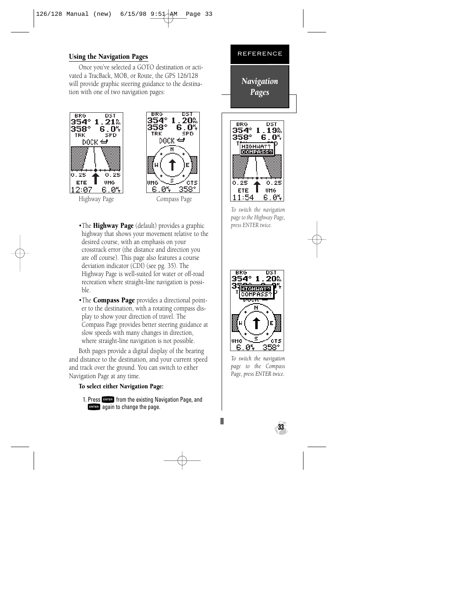#### Using the Navigation Pages

Once you've selected a GOTO destination or activated a TracBack, MOB, or Route, the GPS 126/128 will provide graphic steering guidance to the destination with one of two navigation pages:



- •The **Highway Page** (default) provides a graphic highway that shows your movement relative to the desired course, with an emphasis on your crosstrack error (the distance and direction you are off course). This page also features a course deviation indicator (CDI) (see pg. 35). The Highway Page is well-suited for water or off-road recreation where straight-line navigation is possible.
- •The **Compass Page** provides a directional pointer to the destination, with a rotating compass display to show your direction of travel. The Compass Page provides better steering guidance at slow speeds with many changes in direction, where straight-line navigation is not possible.

Both pages provide a digital display of the bearing and distance to the destination, and your current speed and track over the ground. You can switch to either Navigation Page at any time.

#### To select either Navigation Page:

1. Press **EXTER** from the existing Navigation Page, and **ENTER** again to change the page.





*To switch the navigation page to the Highway Page, press ENTER twice.*



*To switch the navigation page to the Compass Page, press ENTER twice.*

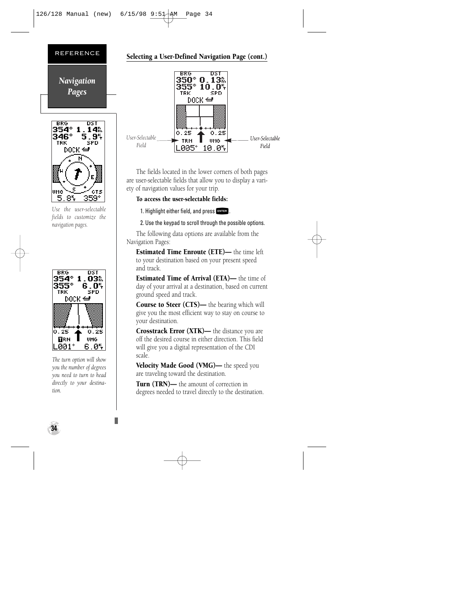#### *Navigation Pages*



*Use the user-selectable fields to customize the navigation pages.*



*The turn option will show you the number of degrees you need to turn to head directly to your destination.*

#### Selecting a User-Defined Navigation Page (cont.)



The fields located in the lower corners of both pages are user-selectable fields that allow you to display a variety of navigation values for your trip.

#### To access the user-selectable fields:

1. Highlight either field, and press FNTER.

2. Use the keypad to scroll through the possible options.

The following data options are available from the Navigation Pages:

Estimated Time Enroute (ETE)— the time left to your destination based on your present speed and track.

Estimated Time of Arrival (ETA)— the time of day of your arrival at a destination, based on current ground speed and track.

Course to Steer (CTS)— the bearing which will give you the most efficient way to stay on course to your destination.

Crosstrack Error (XTK)— the distance you are off the desired course in either direction. This field will give you a digital representation of the CDI scale.

Velocity Made Good (VMG)— the speed you are traveling toward the destination.

Turn (TRN)— the amount of correction in degrees needed to travel directly to the destination.

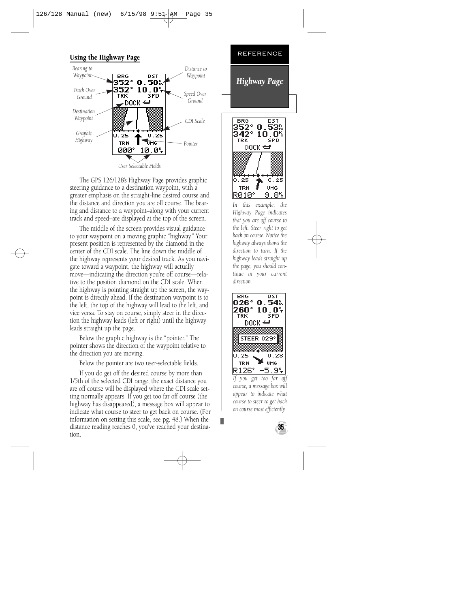#### Using the Highway Page



The GPS 126/128's Highway Page provides graphic steering guidance to a destination waypoint, with a greater emphasis on the straight-line desired course and the distance and direction you are off course. The bearing and distance to a waypoint–along with your current track and speed–are displayed at the top of the screen.

The middle of the screen provides visual guidance to your waypoint on a moving graphic "highway." Your present position is represented by the diamond in the center of the CDI scale. The line down the middle of the highway represents your desired track. As you navigate toward a waypoint, the highway will actually move—indicating the direction you're off course—relative to the position diamond on the CDI scale. When the highway is pointing straight up the screen, the waypoint is directly ahead. If the destination waypoint is to the left, the top of the highway will lead to the left, and vice versa. To stay on course, simply steer in the direction the highway leads (left or right) until the highway leads straight up the page.

Below the graphic highway is the "pointer." The pointer shows the direction of the waypoint relative to the direction you are moving.

Below the pointer are two user-selectable fields.

If you do get off the desired course by more than 1/5th of the selected CDI range, the exact distance you are off course will be displayed where the CDI scale setting normally appears. If you get too far off course (the highway has disappeared), a message box will appear to indicate what course to steer to get back on course. (For information on setting this scale, see pg. 48.) When the distance reading reaches 0, you've reached your destination.



э R010° .84 *In this example, the Highway Page indicates that you are off course to the left. Steer right to get back on course. Notice the highway always shows the direction to turn. If the highway leads straight up the page, you should continue in your current direction.*

0.25 UHG

 $0.25$ 

TRN



*If you get too far off course, a message box will appear to indicate what course to steer to get back on course most efficiently.*

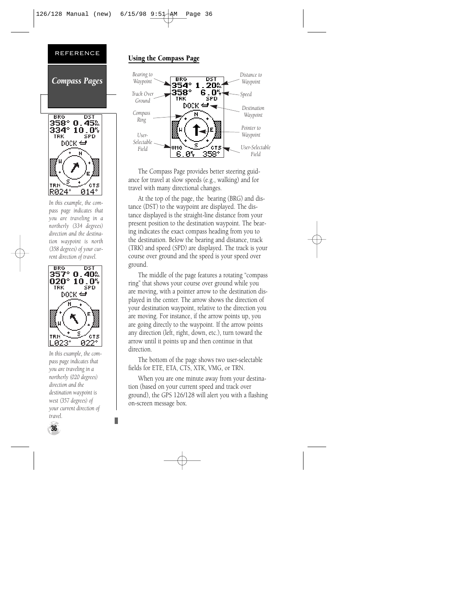

*northerly (334 degrees) direction and the destination waypoint is north (358 degrees) of your current direction of travel.*



*In this example, the compass page indicates that you are traveling in a northerly (020 degrees) direction and the destination waypoint is west (357 degrees) of your current direction of travel.*

#### Using the Compass Page



The Compass Page provides better steering guidance for travel at slow speeds (e.g., walking) and for travel with many directional changes.

At the top of the page, the bearing (BRG) and distance (DST) to the waypoint are displayed. The distance displayed is the straight-line distance from your present position to the destination waypoint. The bearing indicates the exact compass heading from you to the destination. Below the bearing and distance, track (TRK) and speed (SPD) are displayed. The track is your course over ground and the speed is your speed over ground.

The middle of the page features a rotating "compass ring" that shows your course over ground while you are moving, with a pointer arrow to the destination displayed in the center. The arrow shows the direction of your destination waypoint, relative to the direction you are moving. For instance, if the arrow points up, you are going directly to the waypoint. If the arrow points any direction (left, right, down, etc.), turn toward the arrow until it points up and then continue in that direction.

The bottom of the page shows two user-selectable fields for ETE, ETA, CTS, XTK, VMG, or TRN.

When you are one minute away from your destination (based on your current speed and track over ground), the GPS 126/128 will alert you with a flashing on-screen message box.

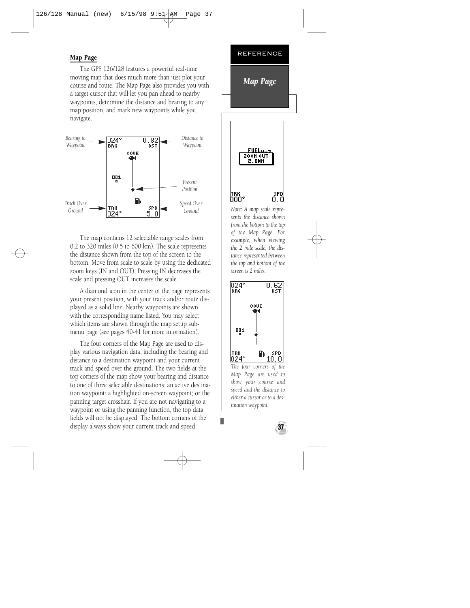#### Map Page

The GPS 126/128 features a powerful real-time moving map that does much more than just plot your course and route. The Map Page also provides you with a target cursor that will let you pan ahead to nearby waypoints, determine the distance and bearing to any map position, and mark new waypoints while you navigate.



The map contains 12 selectable range scales from 0.2 to 320 miles (0.5 to 600 km). The scale represents the distance shown from the top of the screen to the bottom. Move from scale to scale by using the dedicated zoom keys (IN and OUT). Pressing IN decreases the scale and pressing OUT increases the scale.

A diamond icon in the center of the page represents your present position, with your track and/or route displayed as a solid line. Nearby waypoints are shown with the corresponding name listed. You may select which items are shown through the map setup submenu page (see pages 40-41 for more information).

The four corners of the Map Page are used to display various navigation data, including the bearing and distance to a destination waypoint and your current track and speed over the ground. The two fields at the top corners of the map show your bearing and distance to one of three selectable destinations: an active destination waypoint; a highlighted on-screen waypoint; or the panning target crosshair. If you are not navigating to a waypoint or using the panning function, the top data fields will not be displayed. The bottom corners of the display always show your current track and speed. **37**





*Note: A map scale represents the distance shown from the bottom to the top of the Map Page. For example, when viewing the 2 mile scale, the distance represented between the top and bottom of the screen is 2 miles.*



*The four corners of the Map Page are used to show your course and speed and the distance to either a cursor or to a destination waypoint.*

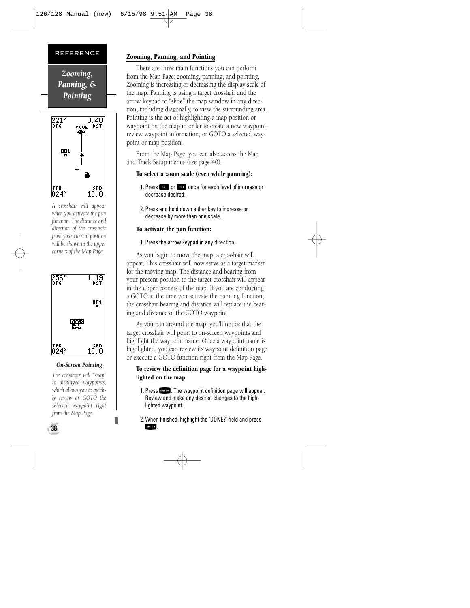



*A crosshair will appear when you activate the pan function. The distance and direction of the crosshair from your current position will be shown in the upper corners of the Map Page.*



#### *On-Screen Pointing*

*The crosshair will "snap" to displayed waypoints, which allows you to quickly review or GOTO the selected waypoint right from the Map Page.*

#### Zooming, Panning, and Pointing

There are three main functions you can perform from the Map Page: zooming, panning, and pointing, Zooming is increasing or decreasing the display scale of the map. Panning is using a target crosshair and the arrow keypad to "slide" the map window in any direction, including diagonally, to view the surrounding area. Pointing is the act of highlighting a map position or waypoint on the map in order to create a new waypoint, review waypoint information, or GOTO a selected waypoint or map position.

From the Map Page, you can also access the Map and Track Setup menus (see page 40).

#### To select a zoom scale (even while panning):

- 1. Press **IN** or **EVALUATE ONCE for each level of increase or** decrease desired.
- 2. Press and hold down either key to increase or decrease by more than one scale.

#### To activate the pan function:

1. Press the arrow keypad in any direction.

As you begin to move the map, a crosshair will appear. This crosshair will now serve as a target marker for the moving map. The distance and bearing from your present position to the target crosshair will appear in the upper corners of the map. If you are conducting a GOTO at the time you activate the panning function, the crosshair bearing and distance will replace the bearing and distance of the GOTO waypoint.

As you pan around the map, you'll notice that the target crosshair will point to on-screen waypoints and highlight the waypoint name. Once a waypoint name is highlighted, you can review its waypoint definition page or execute a GOTO function right from the Map Page.

#### To review the definition page for a waypoint highlighted on the map:

- 1. Press Fives I. The waypoint definition page will appear.<br>Review and make any desired changes to the highlighted waypoint.
- 2. When finished, highlight the 'DONE?' field and press ENTER

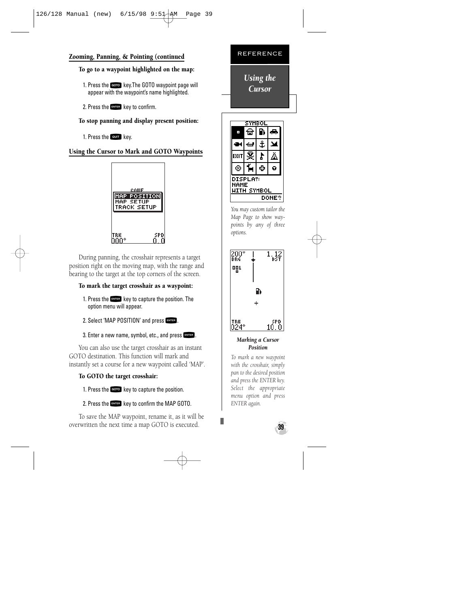#### Zooming, Panning, & Pointing (continued

#### To go to a waypoint highlighted on the map:

- 1. Press the Gego key.The GOTO waypoint page will<br>appear with the waypoint's name highlighted.
- 2. Press the  $F_{\text{inter}}$  key to confirm.

#### To stop panning and display present position:

1. Press the **QUIT** key.

#### Using the Cursor to Mark and GOTO Waypoints



During panning, the crosshair represents a target position right on the moving map, with the range and bearing to the target at the top corners of the screen.

#### To mark the target crosshair as a waypoint:

- 1. Press the Finest key to capture the position. The option menu will appear.
- 2. Select 'MAP POSITION' and press FATER.

#### 3. Enter a new name, symbol, etc., and press  $F_{\text{excess}}$ .

You can also use the target crosshair as an instant GOTO destination. This function will mark and instantly set a course for a new waypoint called 'MAP'.

#### To GOTO the target crosshair:

1. Press the Goto key to capture the position.

#### 2. Press the Expert key to confirm the MAP GOTO.

To save the MAP waypoint, rename it, as it will be overwritten the next time a map GOTO is executed. **39**





*You may custom tailor the Map Page to show waypoints by any of three options.*



#### *Marking a Cursor Position*

*To mark a new waypoint with the crosshair, simply pan to the desired position and press the ENTER key. Select the appropriate menu option and press ENTER again.*

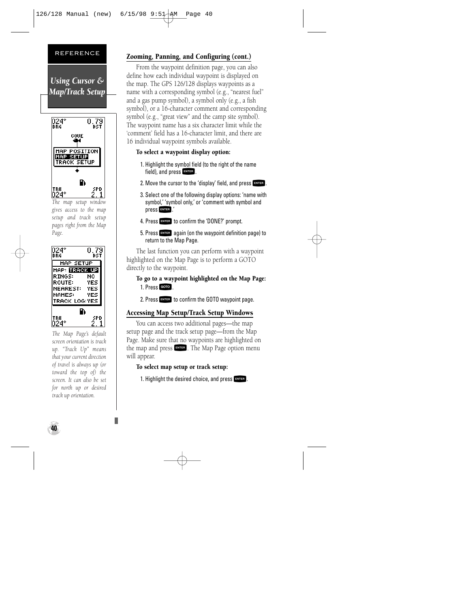



*The map setup window gives access to the map setup and track setup pages right from the Map Page.*



*The Map Page's default screen orientation is track up. "Track Up" means that your current direction of travel is always up (or toward the top of) the screen. It can also be set for north up or desired track up orientation.*

#### Zooming, Panning, and Configuring (cont.)

From the waypoint definition page, you can also define how each individual waypoint is displayed on the map. The GPS 126/128 displays waypoints as a name with a corresponding symbol (e.g., "nearest fuel" and a gas pump symbol), a symbol only (e.g., a fish symbol), or a 16-character comment and corresponding symbol (e.g., "great view" and the camp site symbol). The waypoint name has a six character limit while the 'comment' field has a 16-character limit, and there are 16 individual waypoint symbols available.

#### To select a waypoint display option:

- 1. Highlight the symbol field (to the right of the name field), and press FNTER.
- 2. Move the cursor to the 'display' field, and press  $F_{\text{NTE}}$ .
- 3. Select one of the following display options: 'name with symbol,' 'symbol only,' or 'comment with symbol and press **ENTER** !
- 4. Press **ENTER** to confirm the 'DONE?' prompt.
- 5. Press Fagain (on the waypoint definition page) to return to the Map Page.

The last function you can perform with a waypoint highlighted on the Map Page is to perform a GOTO directly to the waypoint.

To go to a waypoint highlighted on the Map Page: 1. Press GOTO

2. Press **ENTER** to confirm the GOTO waypoint page.

#### Accessing Map Setup/Track Setup Windows

You can access two additional pages—the map setup page and the track setup page—from the Map Page. Make sure that no waypoints are highlighted on the map and press **ENTER**. The Map Page option menu will appear.

To select map setup or track setup:

1. Highlight the desired choice, and press  $F_{\text{ext}}$ .

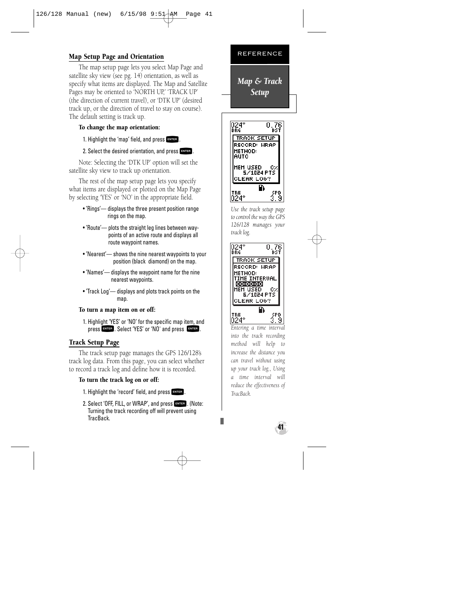#### Map Setup Page and Orientation

The map setup page lets you select Map Page and satellite sky view (see pg. 14) orientation, as well as specify what items are displayed. The Map and Satellite Pages may be oriented to 'NORTH UP,' 'TRACK UP' (the direction of current travel), or 'DTK UP' (desired track up, or the direction of travel to stay on course). The default setting is track up.

#### To change the map orientation:

1. Highlight the 'map' field, and press FATER.

#### 2. Select the desired orientation, and press ENTER.

Note: Selecting the 'DTK UP' option will set the satellite sky view to track up orientation.

The rest of the map setup page lets you specify what items are displayed or plotted on the Map Page by selecting 'YES' or 'NO' in the appropriate field.

- 'Rings'— displays the three present position range rings on the map.
- 'Route'— plots the straight leg lines between waypoints of an active route and displays all route waypoint names.
- 'Nearest'— shows the nine nearest waypoints to your position (black diamond) on the map.
- 'Names'— displays the waypoint name for the nine nearest waypoints.
- 'Track Log'— displays and plots track points on the map.

#### To turn a map item on or off:

1. Highlight 'YES' or 'NO' for the specific map item, and press FNTER . Select 'YES' or 'NO' and press FNTER.

#### Track Setup Page

The track setup page manages the GPS 126/128's track log data. From this page, you can select whether to record a track log and define how it is recorded.

#### To turn the track log on or off:

- 1. Highlight the 'record' field, and press Fives .<br>2. Select 'OFF. FILL. or WRAP', and press Fives . (Note:
- 2. Select 'OFF, FILL, or WRAP', and press ENTER . (Note:<br>Turning the track recording off will prevent using TracBack.



*Map & Track Setup*



*Use the track setup page to control the way the GPS 126/128 manages your track log.*



*Entering a time interval into the track recording method will help to increase the distance you can travel without using up your track log., Using a time interval will reduce the effectiveness of TracBack.*

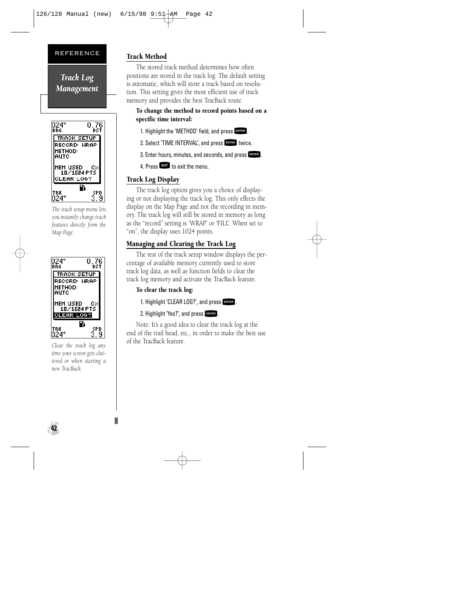*Track Log Management*



*The track setup menu lets you instantly change track features directly from the Map Page.*



*Clear the track log any time your screen gets cluttered or when starting a new TracBack.*

#### Track Method

The stored track method determines how often positions are stored in the track log. The default setting is automatic, which will store a track based on resolution. This setting gives the most efficient use of track memory and provides the best TracBack route.

#### To change the method to record points based on a specific time interval:

- 1. Highlight the 'METHOD' field, and press FNTER.
- 2. Select 'TIME INTERVAL', and press FNTER twice.
- 3. Enter hours, minutes, and seconds, and press FATTER.
- 4. Press **QUIT** to exit the menu.

#### Track Log Display

The track log option gives you a choice of displaying or not displaying the track log. This only effects the display on the Map Page and not the recording in memory. The track log will still be stored in memory as long as the "record" setting is 'WRAP' or 'FILL'. When set to "on", the display uses 1024 points.

#### Managing and Clearing the Track Log

The rest of the track setup window displays the percentage of available memory currently used to store track log data, as well as function fields to clear the track log memory and activate the TracBack feature.

#### To clear the track log:

- 1. Highlight 'CLEAR LOG?', and press FATER.
- 2. Highlight 'Yes?', and press FRITER.

Note: It's a good idea to clear the track log at the end of the trail head, etc., in order to make the best use of the TracBack feature.

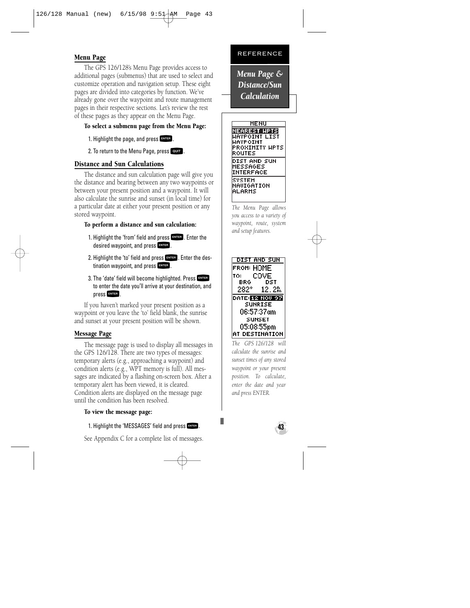#### Menu Page

The GPS 126/128's Menu Page provides access to additional pages (submenus) that are used to select and customize operation and navigation setup. These eight pages are divided into categories by function. We've already gone over the waypoint and route management pages in their respective sections. Let's review the rest of these pages as they appear on the Menu Page.

#### To select a submenu page from the Menu Page:

- 1. Highlight the page, and press FRTER.
- 2. To return to the Menu Page, press QUIT.

#### Distance and Sun Calculations

The distance and sun calculation page will give you the distance and bearing between any two waypoints or between your present position and a waypoint. It will also calculate the sunrise and sunset (in local time) for a particular date at either your present position or any stored waypoint.

#### To perform a distance and sun calculation:

- 1. Highlight the 'from' field and press FRITER. Enter the desired waypoint, and press FNTER
- 2. Highlight the 'to' field and press  $F$ . Enter the destination waypoint, and press Frues .<br>3. The 'date' field will become highlighted. Press Frues
- 3. The 'date' field will become highlighted. Press F to enter the date you'll arrive at your destination, and press F.

If you haven't marked your present position as a waypoint or you leave the 'to' field blank, the sunrise and sunset at your present position will be shown.

#### Message Page

The message page is used to display all messages in the GPS 126/128. There are two types of messages: temporary alerts (e.g., approaching a waypoint) and condition alerts (e.g., WPT memory is full). All messages are indicated by a flashing on-screen box. After a temporary alert has been viewed, it is cleared. Condition alerts are displayed on the message page until the condition has been resolved.

#### To view the message page:

1. Highlight the 'MESSAGES' field and press FRIER.

See Appendix C for a complete list of messages.

#### REFERENCE

*Menu Page & Distance/Sun Calculation*



*The Menu Page allows you access to a variety of waypoint, route, system and setup features.*



*The GPS 126/128 will calculate the sunrise and sunset times of any stored waypoint or your present position. To calculate, enter the date and year and press ENTER.*

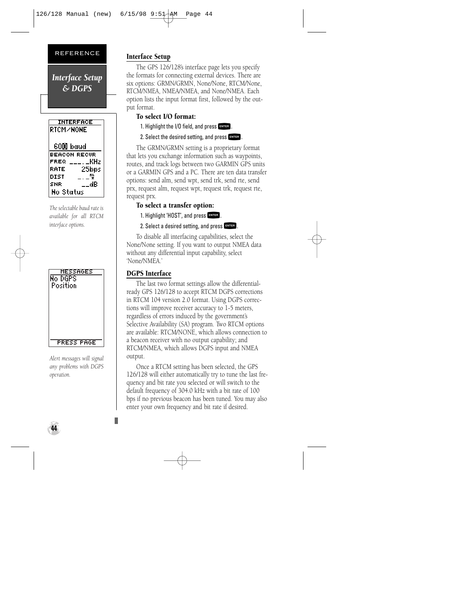*Interface Setup & DGPS*



*The selectable baud rate is available for all RTCM interface options.*



*Alert messages will signal any problems with DGPS operation.*

#### Interface Setup

The GPS 126/128's interface page lets you specify the formats for connecting external devices. There are six options: GRMN/GRMN, None/None, RTCM/None, RTCM/NMEA, NMEA/NMEA, and None/NMEA. Each option lists the input format first, followed by the output format.

#### To select I/O format:

1. Highlight the I/O field, and press  $F_{\text{inter}}$ .

2. Select the desired setting, and press FRTER.

The GRMN/GRMN setting is a proprietary format that lets you exchange information such as waypoints, routes, and track logs between two GARMIN GPS units or a GARMIN GPS and a PC. There are ten data transfer options: send alm, send wpt, send trk, send rte, send prx, request alm, request wpt, request trk, request rte, request prx.

#### To select a transfer option:

- 1. Highlight 'HOST', and press FNTER.
- 2. Select a desired setting, and press FNTER.

To disable all interfacing capabilities, select the None/None setting. If you want to output NMEA data without any differential input capability, select 'None/NMEA.'

#### DGPS Interface

The last two format settings allow the differentialready GPS 126/128 to accept RTCM DGPS corrections in RTCM 104 version 2.0 format. Using DGPS corrections will improve receiver accuracy to 1-5 meters, regardless of errors induced by the government's Selective Availability (SA) program. Two RTCM options are available: RTCM/NONE, which allows connection to a beacon receiver with no output capability; and RTCM/NMEA, which allows DGPS input and NMEA output.

Once a RTCM setting has been selected, the GPS 126/128 will either automatically try to tune the last frequency and bit rate you selected or will switch to the default frequency of 304.0 kHz with a bit rate of 100 bps if no previous beacon has been tuned. You may also enter your own frequency and bit rate if desired.

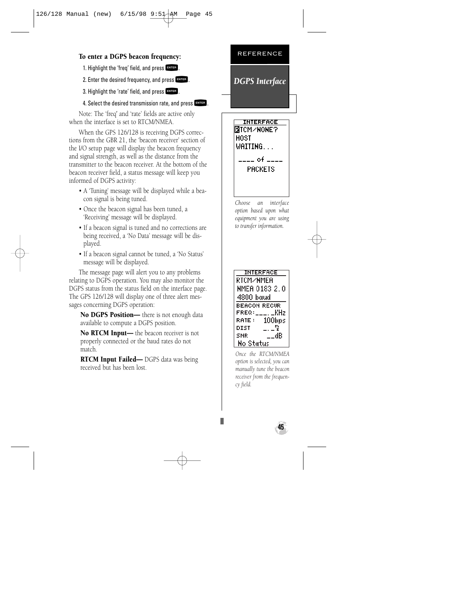#### To enter a DGPS beacon frequency:

- 1. Highlight the 'freq' field, and press ENTER.
- 2. Enter the desired frequency, and press  $F_{\text{MSE}}$ .
- 3. Highlight the 'rate' field, and press FATER.

#### 4. Select the desired transmission rate, and press FRYER.

Note: The 'freq' and 'rate' fields are active only when the interface is set to RTCM/NMEA.

When the GPS 126/128 is receiving DGPS corrections from the GBR 21, the 'beacon receiver' section of the I/O setup page will display the beacon frequency and signal strength, as well as the distance from the transmitter to the beacon receiver. At the bottom of the beacon receiver field, a status message will keep you informed of DGPS activity:

- A 'Tuning' message will be displayed while a beacon signal is being tuned.
- Once the beacon signal has been tuned, a 'Receiving' message will be displayed.
- If a beacon signal is tuned and no corrections are being received, a 'No Data' message will be displayed.
- If a beacon signal cannot be tuned, a 'No Status' message will be displayed.

The message page will alert you to any problems relating to DGPS operation. You may also monitor the DGPS status from the status field on the interface page. The GPS 126/128 will display one of three alert messages concerning DGPS operation:

No DGPS Position- there is not enough data available to compute a DGPS position.

No RTCM Input— the beacon receiver is not properly connected or the baud rates do not match.

**RTCM Input Failed—** DGPS data was being received but has been lost.





*Choose an interface option based upon what equipment you are using to transfer information.*



*Once the RTCM/NMEA option is selected, you can manually tune the beacon receiver from the frequency field.*

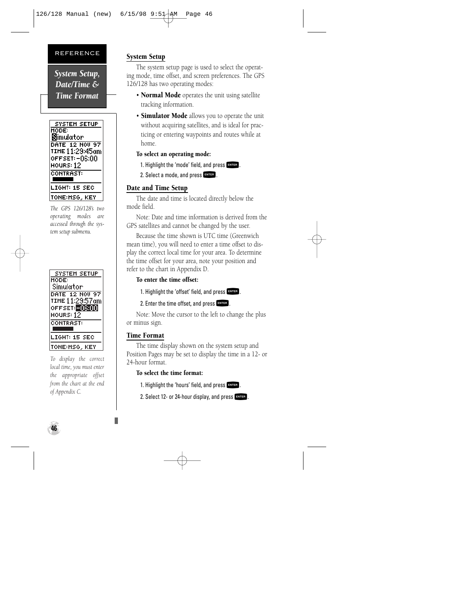*System Setup, Date/Time & Time Format*



*The GPS 126/128's two operating modes are accessed through the system setup submenu.*



*To display the correct local time, you must enter the appropriate offset from the chart at the end of Appendix C.*

#### System Setup

The system setup page is used to select the operating mode, time offset, and screen preferences. The GPS 126/128 has two operating modes:

- Normal Mode operates the unit using satellite tracking information.
- Simulator Mode allows you to operate the unit without acquiring satellites, and is ideal for practicing or entering waypoints and routes while at home.

#### To select an operating mode:

- 1. Highlight the 'mode' field, and press ENTER.
- 2. Select a mode, and press FRTER.

#### Date and Time Setup

The date and time is located directly below the mode field.

Note: Date and time information is derived from the GPS satellites and cannot be changed by the user.

Because the time shown is UTC time (Greenwich mean time), you will need to enter a time offset to display the correct local time for your area. To determine the time offset for your area, note your position and refer to the chart in Appendix D.

#### To enter the time offset:

1. Highlight the 'offset' field, and press  $F_{\text{other}}$ .

2. Enter the time offset, and press FRTER.

Note: Move the cursor to the left to change the plus or minus sign.

#### Time Format

The time display shown on the system setup and Position Pages may be set to display the time in a 12- or 24-hour format.

#### To select the time format:

1. Highlight the 'hours' field, and press FNTER.

2. Select 12- or 24-hour display, and press FRTER.

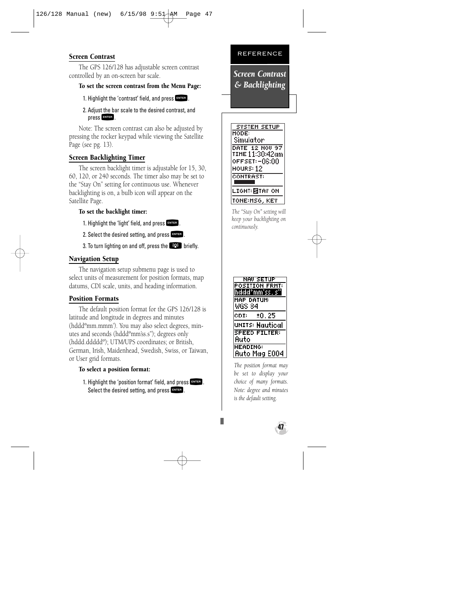#### Screen Contrast

The GPS 126/128 has adjustable screen contrast controlled by an on-screen bar scale.

#### To set the screen contrast from the Menu Page:

- 1. Highlight the 'contrast' field, and press FNTER.
- 2. Adjust the bar scale to the desired contrast, and press FNTER.

Note: The screen contrast can also be adjusted by pressing the rocker keypad while viewing the Satellite Page (see pg. 13).

#### Screen Backlighting Timer

The screen backlight timer is adjustable for 15, 30, 60, 120, or 240 seconds. The timer also may be set to the "Stay On" setting for continuous use. Whenever backlighting is on, a bulb icon will appear on the Satellite Page.

#### To set the backlight timer:

1. Highlight the 'light' field, and press FATER.

2. Select the desired setting, and press  $F_{\text{MTE}}$ .

3. To turn lighting on and off, press the  $\mathbb{R}^n$  briefly.

#### Navigation Setup

The navigation setup submenu page is used to select units of measurement for position formats, map datums, CDI scale, units, and heading information.

#### Position Formats

The default position format for the GPS 126/128 is latitude and longitude in degrees and minutes (hdddºmm.mmm'). You may also select degrees, minutes and seconds (hdddºmm'ss.s''); degrees only (hddd.dddddº); UTM/UPS coordinates; or British, German, Irish, Maidenhead, Swedish, Swiss, or Taiwan, or User grid formats.

#### To select a position format:

1. Highlight the 'position format' field, and press FRTER .<br>Select the desired setting, and press FRTER . Select the desired setting, and press  $\overline{\phantom{0}}$  and  $\overline{\phantom{0}}$  .

#### REFERENCE

*Screen Contrast & Backlighting* 



*The "Stay On" setting will keep your backlighting on continuously.* 



*The position format may be set to display your choice of many formats. Note: degree and minutes is the default setting.*

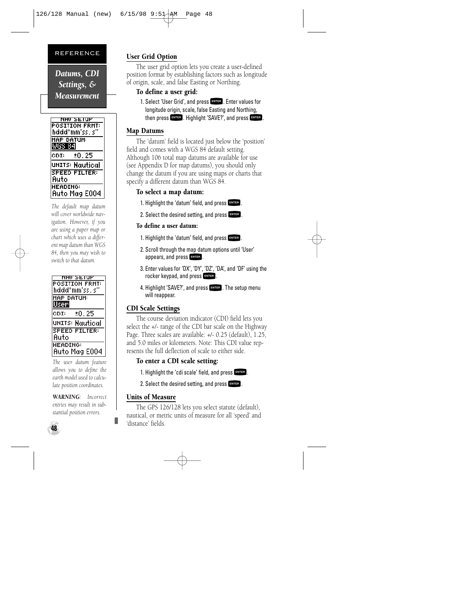*Datums, CDI Settings, & Measurement*

| NAV SETUP             |
|-----------------------|
| <b>POSITION FRHT:</b> |
| hddd°mm'ss, s'        |
| <b>HAP DATUH:</b>     |
| WGS 8                 |
| ±0.25<br>CDI:         |
| UNITS: Nautical       |
| <b>SPEED FILTER:</b>  |
| Auto                  |
|                       |
| <b>HEADING:</b>       |
| Auto Mag E004         |

*The default map datum will cover worldwide navigation. However, if you are using a paper map or chart which uses a different map datum than WGS 84, then you may wish to switch to that datum.*

| SE.<br><b>POSITION FRHT:</b><br>hddd°mm'ss.s' |
|-----------------------------------------------|
| HAP DATUH:<br>User                            |
| CDI:<br>±0.25                                 |
| units: Nautical                               |
| <b>SPEED FILTER:</b><br>Auto                  |
| <b>HEADING:</b><br><b>Auto Mag E004</b>       |

*The user datum feature allows you to define the earth model used to calculate position coordinates.* 

*WARNING: Incorrect entries may result in substantial position errors.*

#### User Grid Option

The user grid option lets you create a user-defined position format by establishing factors such as longitude of origin, scale, and false Easting or Northing.

#### To define a user grid:

1. Select 'User Grid', and press **Exter,** Enter values for<br>longitude origin, scale, false Easting and Northing, then press FRTER. Highlight 'SAVE?', and press ENTER.

#### Map Datums

The 'datum' field is located just below the 'position' field and comes with a WGS 84 default setting. Although 106 total map datums are available for use (see Appendix D for map datums), you should only change the datum if you are using maps or charts that specify a different datum than WGS 84.

#### To select a map datum:

- 1. Highlight the 'datum' field, and press FNTER.
- 2. Select the desired setting, and press FNTER.

#### To define a user datum:

- 1. Highlight the 'datum' field, and press FNTER
- 2. Scroll through the map datum options until 'User' appears, and press FNTER.
- 3. Enter values for 'DX', 'DY', 'DZ', 'DA', and 'DF' using the rocker keypad, and press FNTER.
- 4. Highlight 'SAVE?', and press **ENTER**. The setup menu will reappear.

#### CDI Scale Settings

The course deviation indicator (CDI) field lets you select the +/- range of the CDI bar scale on the Highway Page. Three scales are available: +/- 0.25 (default), 1.25, and 5.0 miles or kilometers. Note: This CDI value represents the full deflection of scale to either side.

#### To enter a CDI scale setting:

- 1. Highlight the 'cdi scale' field, and press FINER.
- 2. Select the desired setting, and press  $F_{\text{ext}}$ .

#### Units of Measure

The GPS 126/128 lets you select statute (default), nautical, or metric units of measure for all 'speed' and 'distance' fields.

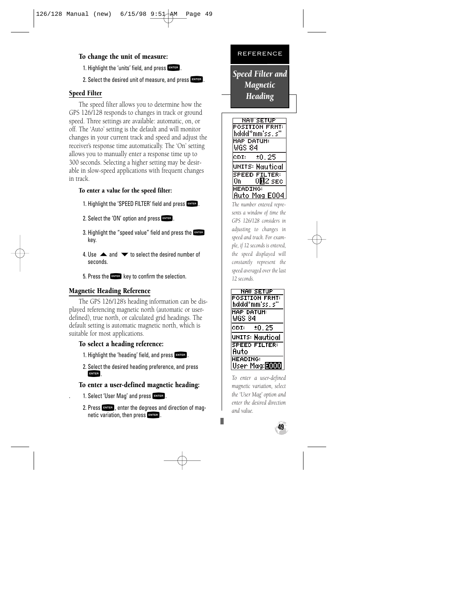#### To change the unit of measure:

- 1. Highlight the 'units' field, and press FNTER.
- 2. Select the desired unit of measure, and press  $F_{\text{excess}}$ .

#### Speed Filter

The speed filter allows you to determine how the GPS 126/128 responds to changes in track or ground speed. Three settings are available: automatic, on, or off. The 'Auto' setting is the default and will monitor changes in your current track and speed and adjust the receiver's response time automatically. The 'On' setting allows you to manually enter a response time up to 300 seconds. Selecting a higher setting may be desirable in slow-speed applications with frequent changes in track.

#### To enter a value for the speed filter:

- 1. Highlight the 'SPEED FILTER' field and press FINTER.
- 2. Select the 'ON' option and press FNTER.
- 3. Highlight the "speed value" field and press the ENTER key.
- 4. Use  $\triangle$  and  $\blacktriangledown$  to select the desired number of seconds.
- 5. Press the Expert key to confirm the selection.

#### Magnetic Heading Reference

The GPS 126/128's heading information can be displayed referencing magnetic north (automatic or userdefined), true north, or calculated grid headings. The default setting is automatic magnetic north, which is suitable for most applications.

#### To select a heading reference:

- 1. Highlight the 'heading' field, and press FRTER.
- 2. Select the desired heading preference, and press

## FRTER .<br>To enter a user-defined magnetic heading:

- 1. Select 'User Mag' and press FNTER.
	- 2. Press FNTER, enter the degrees and direction of magnetic variation, then press FNTER.

#### REFERENCE

*Speed Filter and Magnetic Heading*



*The number entered represents a window of time the GPS 126/128 considers in adjusting to changes in speed and track. For example, if 12 seconds is entered, the speed displayed will constantly represent the speed averaged over the last 12 seconds.*



*To enter a user-defined magnetic variation, select the 'User Mag' option and enter the desired direction and value.*

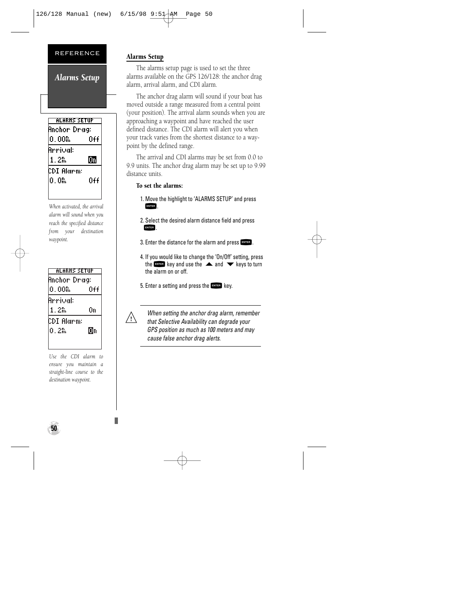*Alarms Setup*

| ALARNS SETUP   |     |  |
|----------------|-----|--|
| Anchor Drag:   |     |  |
| $0.00$ $\hbar$ | 0ff |  |
| Arrival:       |     |  |
| 1. ZM          | 匝   |  |
| CDT Alarm:     |     |  |
| በ በኤ           | 0++ |  |
|                |     |  |

*When activated, the arrival alarm will sound when you reach the specified distance from your destination waypoint.*

| ALARNS SETUP     |     |
|------------------|-----|
| Anchor Drag:     |     |
| $0.00\mathrm{g}$ | 0++ |
| Arrival:         |     |
| 1. 2ዬ            | Ūn  |
|                  |     |
| CDI Alarm:       |     |
| በ 2ኢ             | Юn  |

*Use the CDI alarm to ensure you maintain a straight-line course to the destination waypoint.*

#### Alarms Setup

The alarms setup page is used to set the three alarms available on the GPS 126/128: the anchor drag alarm, arrival alarm, and CDI alarm.

The anchor drag alarm will sound if your boat has moved outside a range measured from a central point (your position). The arrival alarm sounds when you are approaching a waypoint and have reached the user defined distance. The CDI alarm will alert you when your track varies from the shortest distance to a waypoint by the defined range.

The arrival and CDI alarms may be set from 0.0 to 9.9 units. The anchor drag alarm may be set up to 9.99 distance units.

#### To set the alarms:

- 1. Move the highlight to 'ALARMS SETUP' and press ENTER
- 2. Select the desired alarm distance field and press ENTER
- 3. Enter the distance for the alarm and press FRIER.
- 4. If you would like to change the 'On/Off' setting, press the Finest key and use the  $\triangle$  and  $\blacktriangledown$  keys to turn the alarm on or off.
- 5. Enter a setting and press the  $\frac{1}{2}$  key.



When setting the anchor drag alarm, remember that Selective Availability can degrade your GPS position as much as 100 meters and may cause false anchor drag alerts.

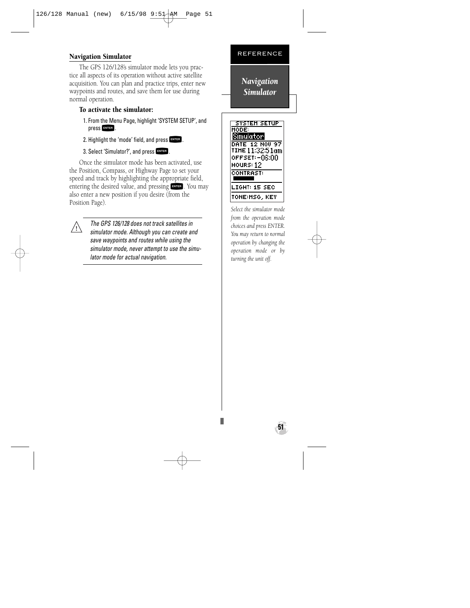#### REFERENCE Navigation Simulator

The GPS 126/128's simulator mode lets you practice all aspects of its operation without active satellite acquisition. You can plan and practice trips, enter new waypoints and routes, and save them for use during normal operation.

#### To activate the simulator:

- 1. From the Menu Page, highlight 'SYSTEM SETUP', and press FINTER.
- 2. Highlight the 'mode' field, and press FATER.
- 3. Select 'Simulator?', and press FINTER.

Once the simulator mode has been activated, use the Position, Compass, or Highway Page to set your speed and track by highlighting the appropriate field, entering the desired value, and pressing EwE. You may<br>also enter a new position if you desire (from the Position Page).



The GPS 126/128 does not track satellites in simulator mode. Although you can create and save waypoints and routes while using the simulator mode, never attempt to use the simulator mode for actual navigation.

*Navigation Simulator*



*Select the simulator mode from the operation mode choices and press ENTER. You may return to normal operation by changing the operation mode or by turning the unit off.*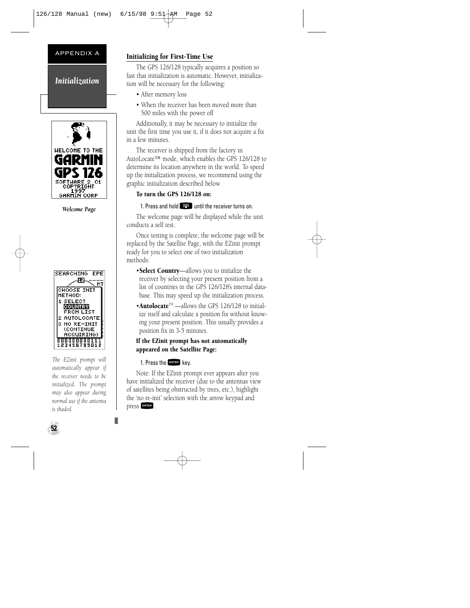#### APPENDIX A

*Initialization*



*Welcome Page*



*The EZinit prompt will automatically appear if the receiver needs to be initialized. The prompt may also appear during normal use if the antenna is shaded.*

#### Initializing for First-Time Use

The GPS 126/128 typically acquires a position so fast that initialization is automatic. However, initialization will be necessary for the following:

- After memory loss
- When the receiver has been moved more than 500 miles with the power off

Additionally, it may be necessary to initialize the unit the first time you use it, if it does not acquire a fix in a few minutes.

The receiver is shipped from the factory in AutoLocate™ mode, which enables the GPS 126/128 to determine its location anywhere in the world. To speed up the initialization process, we recommend using the graphic initialization described below.

#### To turn the GPS 126/128 on:

1. Press and hold **PPS** until the receiver turns on.<br>The welcome page will be displayed while the unit conducts a self test.

Once testing is complete, the welcome page will be replaced by the Satellite Page, with the EZinit prompt ready for you to select one of two initialization methods:

- •Select Country—allows you to initialize the receiver by selecting your present position from a list of countries in the GPS 126/128's internal database. This may speed up the initialization process.
- •Autolocate<sup>TM</sup> ——allows the GPS 126/128 to initialize itself and calculate a position fix without knowing your present position. This usually provides a position fix in 3-5 minutes.

#### If the EZinit prompt has not automatically appeared on the Satellite Page:

1. Press the ENTER key.

Note: If the EZinit prompt ever appears after you have initialized the receiver (due to the antennas view of satellites being obstructed by trees, etc.), highlight the 'no re-init' selection with the arrow keypad and press FNTER.

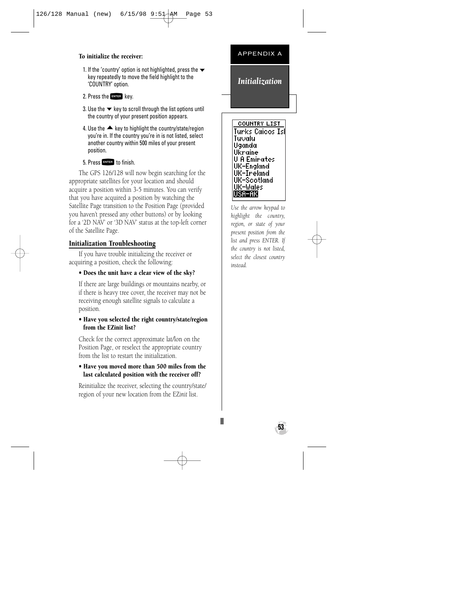#### To initialize the receiver:

- 1. If the 'country' option is not highlighted, press the  $\blacktriangledown$ key repeatedly to move the field highlight to the 'COUNTRY' option.
- 2. Press the FNTER key.
- 3. Use the  $\blacktriangleright$  key to scroll through the list options until the country of your present position appears.
- 4. Use the  $\triangle$  key to highlight the country/state/region you're in. If the country you're in is not listed, select another country within 500 miles of your present position.

5. Press Fives to finish.<br>The GPS 126/128 will now begin searching for the appropriate satellites for your location and should acquire a position within 3-5 minutes. You can verify that you have acquired a position by watching the Satellite Page transition to the Position Page (provided you haven't pressed any other buttons) or by looking for a '2D NAV' or '3D NAV' status at the top-left corner of the Satellite Page.

#### Initialization Troubleshooting

If you have trouble initializing the receiver or acquiring a position, check the following:

#### • Does the unit have a clear view of the sky?

If there are large buildings or mountains nearby, or if there is heavy tree cover, the receiver may not be receiving enough satellite signals to calculate a position.

#### • Have you selected the right country/state/region from the EZinit list?

Check for the correct approximate lat/lon on the Position Page, or reselect the appropriate country from the list to restart the initialization.

#### • Have you moved more than 500 miles from the last calculated position with the receiver off?

Reinitialize the receiver, selecting the country/state/ region of your new location from the EZ*init* list.

#### APPENDIX A

#### *Initialization*

**COUNTRY LIST** Tunks Caicos Isl Tu∪alul Uganda Ukraine **U.A.Emirates** UK-England UK-Ireland UK-Scotland UK-Wales |USA-AK

*Use the arrow keypad to highlight the country, region, or state of your present position from the list and press ENTER. If the country is not listed, select the closest country instead.*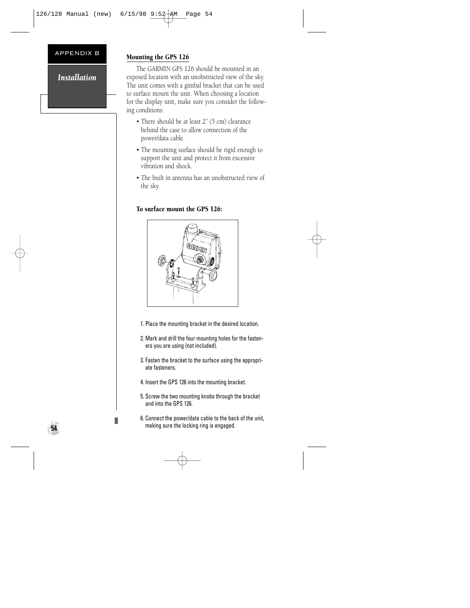#### APPENDIX B

#### *Installation*

#### Mounting the GPS 126

The GARMIN GPS 126 should be mounted in an exposed location with an unobstructed view of the sky. The unit comes with a gimbal bracket that can be used to surface mount the unit. When choosing a location for the display unit, make sure you consider the following conditions:

- There should be at least 2" (5 cm) clearance behind the case to allow connection of the power/data cable.
- The mounting surface should be rigid enough to support the unit and protect it from excessive vibration and shock.
- The built in antenna has an unobstructed view of the sky.

#### To surface mount the GPS 126:



- 1. Place the mounting bracket in the desired location.
- 2. Mark and drill the four mounting holes for the fasteners you are using (not included).
- 3. Fasten the bracket to the surface using the appropriate fasteners.
- 4. Insert the GPS 126 into the mounting bracket.
- 5. Screw the two mounting knobs through the bracket and into the GPS 126.
- 6. Connect the power/data cable to the back of the unit, making sure the locking ring is engaged.

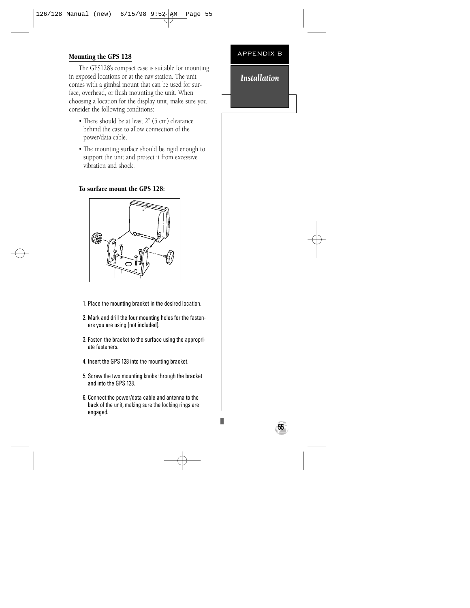#### Mounting the GPS 128

The GPS128's compact case is suitable for mounting in exposed locations or at the nav station. The unit comes with a gimbal mount that can be used for surface, overhead, or flush mounting the unit. When choosing a location for the display unit, make sure you consider the following conditions:

- There should be at least 2" (5 cm) clearance behind the case to allow connection of the power/data cable.
- The mounting surface should be rigid enough to support the unit and protect it from excessive vibration and shock.

#### To surface mount the GPS 128:



- 1. Place the mounting bracket in the desired location.
- 2. Mark and drill the four mounting holes for the fasteners you are using (not included).
- 3. Fasten the bracket to the surface using the appropriate fasteners.
- 4. Insert the GPS 128 into the mounting bracket.
- 5. Screw the two mounting knobs through the bracket and into the GPS 128.
- 6. Connect the power/data cable and antenna to the back of the unit, making sure the locking rings are engaged.

#### APPENDIX B

#### *Installation*

**55**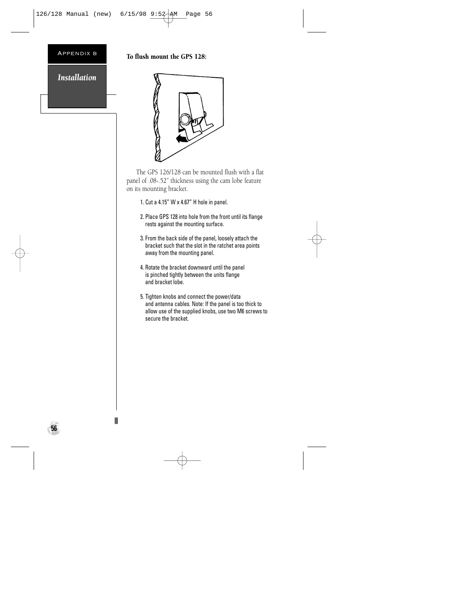#### Appendix b

*Installation*

#### To flush mount the GPS 128:



The GPS 126/128 can be mounted flush with a flat panel of .08-.52" thickness using the cam lobe feature on its mounting bracket.

- 1. Cut a 4.15" W x 4.67" H hole in panel.
- 2. Place GPS 128 into hole from the front until its flange rests against the mounting surface.
- 3. From the back side of the panel, loosely attach the bracket such that the slot in the ratchet area points away from the mounting panel.
- 4. Rotate the bracket downward until the panel is pinched tightly between the units flange and bracket lobe.
- 5. Tighten knobs and connect the power/data and antenna cables. Note: If the panel is too thick to allow use of the supplied knobs, use two M6 screws to secure the bracket.

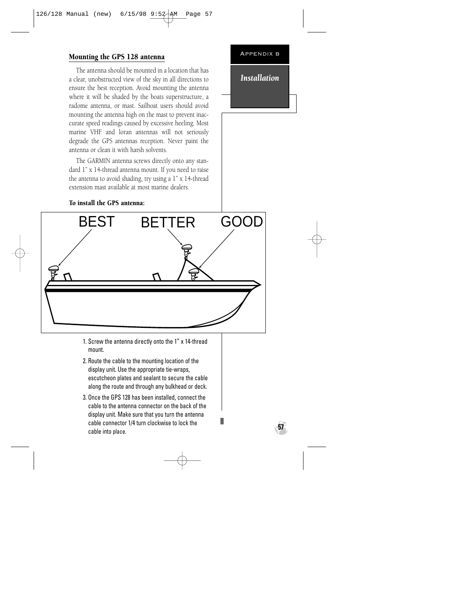#### Mounting the GPS 128 antenna

The antenna should be mounted in a location that has a clear, unobstructed view of the sky in all directions to ensure the best reception. Avoid mounting the antenna where it will be shaded by the boats superstructure, a radome antenna, or mast. Sailboat users should avoid mounting the antenna high on the mast to prevent inaccurate speed readings caused by excessive heeling. Most marine VHF and loran antennas will not seriously degrade the GPS antennas reception. Never paint the antenna or clean it with harsh solvents.

The GARMIN antenna screws directly onto any standard 1" x 14-thread antenna mount. If you need to raise the antenna to avoid shading, try using a 1" x 14-thread extension mast available at most marine dealers.

To install the GPS antenna:

# *Installation*

Appendix b



- 1. Screw the antenna directly onto the 1" x 14-thread mount.
- 2. Route the cable to the mounting location of the display unit. Use the appropriate tie-wraps, escutcheon plates and sealant to secure the cable along the route and through any bulkhead or deck.
- 3. Once the GPS 128 has been installed, connect the cable to the antenna connector on the back of the display unit. Make sure that you turn the antenna cable connector 1/4 turn clockwise to lock the cable into place.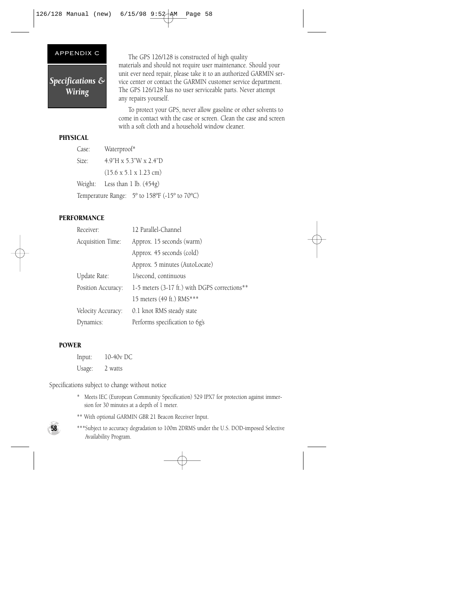#### APPENDIX C

*Specifications & Wiring*

The GPS 126/128 is constructed of high quality materials and should not require user maintenance. Should your unit ever need repair, please take it to an authorized GARMIN service center or contact the GARMIN customer service department. The GPS 126/128 has no user serviceable parts. Never attempt any repairs yourself.

To protect your GPS, never allow gasoline or other solvents to come in contact with the case or screen. Clean the case and screen with a soft cloth and a household window cleaner.

#### PHYSICAL

| Case: | Waterproof*                                   |
|-------|-----------------------------------------------|
| Size: | 4.9"H x 5.3"W x 2.4"D                         |
|       | $(15.6 \times 5.1 \times 1.23$ cm)            |
|       | Weight: Less than $1$ lb. $(454g)$            |
|       | Temperature Range: 5° to 158°F (-15° to 70°C) |

#### PERFORMANCE

| Receiver:          | 12 Parallel-Channel                           |
|--------------------|-----------------------------------------------|
| Acquisition Time:  | Approx. 15 seconds (warm)                     |
|                    | Approx. 45 seconds (cold)                     |
|                    | Approx. 5 minutes (AutoLocate)                |
| Update Rate:       | 1/second, continuous                          |
| Position Accuracy: | 1-5 meters (3-17 ft.) with DGPS corrections** |
|                    | 15 meters (49 ft.) RMS***                     |
| Velocity Accuracy: | 0.1 knot RMS steady state                     |
| Dynamics:          | Performs specification to 6g's                |

#### POWER

Input: 10-40v DC Usage: 2 watts

Specifications subject to change without notice

- \* Meets IEC (European Community Specification) 529 IPX7 for protection against immersion for 30 minutes at a depth of 1 meter.
- \*\* With optional GARMIN GBR 21 Beacon Receiver Input.



\*\*\*Subject to accuracy degradation to 100m 2DRMS under the U.S. DOD-imposed Selective Availability Program.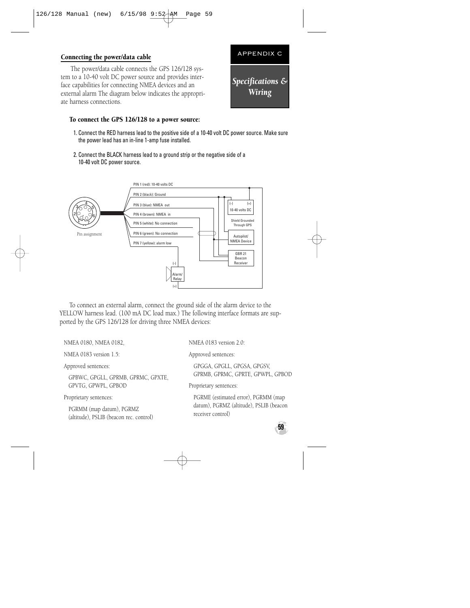#### Connecting the power/data cable

The power/data cable connects the GPS 126/128 system to a 10-40 volt DC power source and provides interface capabilities for connecting NMEA devices and an external alarm The diagram below indicates the appropriate harness connections.



- 1. Connect the RED harness lead to the positive side of a 10-40 volt DC power source. Make sure the power lead has an in-line 1-amp fuse installed.
- 2. Connect the BLACK harness lead to a ground strip or the negative side of a 10-40 volt DC power source.



To connect an external alarm, connect the ground side of the alarm device to the YELLOW harness lead. (100 mA DC load max.) The following interface formats are supported by the GPS 126/128 for driving three NMEA devices:

NMEA 0180, NMEA 0182,

NMEA 0183 version 1.5:

Approved sentences:

GPBWC, GPGLL, GPRMB, GPRMC, GPXTE, GPVTG, GPWPL, GPBOD

Proprietary sentences:

PGRMM (map datum), PGRMZ (altitude), PSLIB (beacon rec. control) NMEA 0183 version 2.0:

Approved sentences:

GPGGA, GPGLL, GPGSA, GPGSV, GPRMB, GPRMC, GPRTE, GPWPL, GPBOD

Proprietary sentences:

PGRME (estimated error), PGRMM (map datum), PGRMZ (altitude), PSLIB (beacon receiver control)



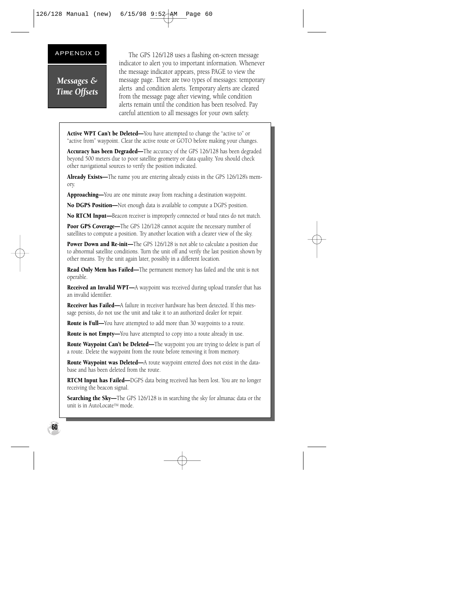*Messages & Time Offsets*

APPENDIX D The GPS 126/128 uses a flashing on-screen message indicator to alert you to important information. Whenever the message indicator appears, press PAGE to view the message page. There are two types of messages: temporary alerts and condition alerts. Temporary alerts are cleared from the message page after viewing, while condition alerts remain until the condition has been resolved. Pay careful attention to all messages for your own safety.

Active WPT Can't be Deleted—You have attempted to change the "active to" or "active from" waypoint. Clear the active route or GOTO before making your changes.

Accuracy has been Degraded—The accuracy of the GPS 126/128 has been degraded beyond 500 meters due to poor satellite geometry or data quality. You should check other navigational sources to verify the position indicated.

Already Exists—The name you are entering already exists in the GPS 126/128's memory.

Approaching—You are one minute away from reaching a destination waypoint.

No DGPS Position—Not enough data is available to compute a DGPS position.

No RTCM Input—Beacon receiver is improperly connected or baud rates do not match.

Poor GPS Coverage—The GPS 126/128 cannot acquire the necessary number of satellites to compute a position. Try another location with a clearer view of the sky.

Power Down and Re-init—The GPS 126/128 is not able to calculate a position due to abnormal satellite conditions. Turn the unit off and verify the last position shown by other means. Try the unit again later, possibly in a different location.

Read Only Mem has Failed—The permanent memory has failed and the unit is not operable.

**Received an Invalid WPT—A** waypoint was received during upload transfer that has an invalid identifier.

Receiver has Failed—A failure in receiver hardware has been detected. If this message persists, do not use the unit and take it to an authorized dealer for repair.

**Route is Full—You** have attempted to add more than 30 waypoints to a route.

Route is not Empty-You have attempted to copy into a route already in use.

Route Waypoint Can't be Deleted—The waypoint you are trying to delete is part of a route. Delete the waypoint from the route before removing it from memory.

Route Waypoint was Deleted--A route waypoint entered does not exist in the database and has been deleted from the route.

RTCM Input has Failed-DGPS data being received has been lost. You are no longer receiving the beacon signal.

**Searching the Sky—The GPS 126/128 is in searching the sky for almanac data or the** unit is in AutoLocate™ mode.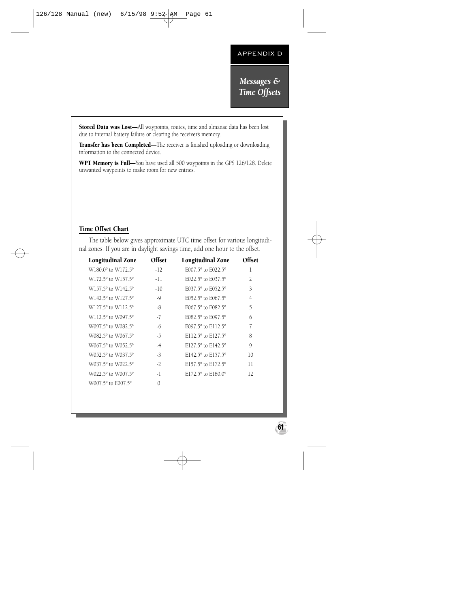*Messages & Time Offsets*

Stored Data was Lost—All waypoints, routes, time and almanac data has been lost due to internal battery failure or clearing the receiver's memory.

Transfer has been Completed-The receiver is finished uploading or downloading information to the connected device.

WPT Memory is Full-You have used all 500 waypoints in the GPS 126/128. Delete unwanted waypoints to make room for new entries.

#### Time Offset Chart

The table below gives approximate UTC time offset for various longitudinal zones. If you are in daylight savings time, add one hour to the offset.

| <b>Longitudinal Zone</b>                   | Offset   | <b>Longitudinal Zone</b>               | Offset         |
|--------------------------------------------|----------|----------------------------------------|----------------|
| W180.0 <sup>o</sup> to W172.5 <sup>o</sup> | $-12$    | E007.5° to E022.5°                     | 1              |
| W172.5° to W157.5°                         | $-11$    | E022.5° to E037.5°                     | $\overline{2}$ |
| W157.5° to W142.5°                         | $-10$    | E037.5° to E052.5°                     | 3              |
| W142.5° to W127.5°                         | $-9$     | E052.5° to E067.5°                     | 4              |
| W127.5° to W112.5°                         | -8       | E067.5° to E082.5°                     | 5              |
| W112.5° to W097.5°                         | $-7$     | E082.5° to E097.5°                     | 6              |
| W097.5° to W082.5°                         | -6       | $E097.5^{\circ}$ to $E112.5^{\circ}$   | 7              |
| W082.5° to W067.5°                         | $-5$     | E112.5° to E127.5°                     | 8              |
| W067.5° to W052.5°                         | $-4$     | E127.5 $^{\circ}$ to E142.5 $^{\circ}$ | 9              |
| W052.5° to W037.5°                         | $-3$     | E142.5 $^{\circ}$ to E157.5 $^{\circ}$ | 10             |
| W037.5° to W022.5°                         | $-2$     | E157.5° to E172.5°                     | 11             |
| W022.5° to W007.5°                         | $-1$     | E172.5° to E180.0°                     | 12             |
| W007.5° to E007.5°                         | $\Omega$ |                                        |                |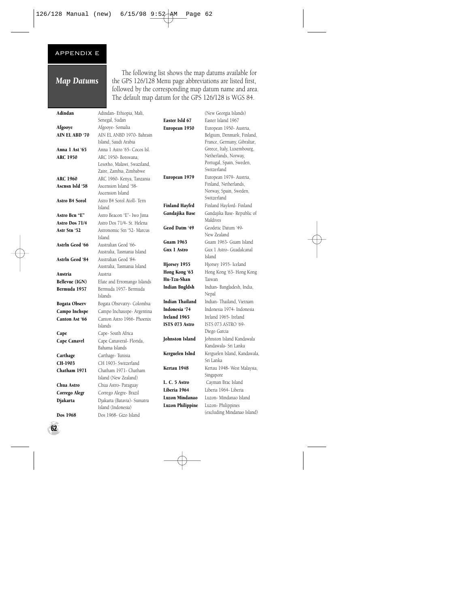#### APPENDIX E

#### *Map Datums*

The following list shows the map datums available for the GPS 126/128 Menu page abbreviations are listed first, followed by the corresponding map datum name and area. The default map datum for the GPS 126/128 is WGS 84.

| Adindan               | Adindan-Ethiopia, Mali,              |                               | (New Georgia Islands)                            |
|-----------------------|--------------------------------------|-------------------------------|--------------------------------------------------|
|                       | Senegal, Sudan                       | Easter Isld 67                | Easter Island 1967                               |
| Afgooye               | Afgooye- Somalia                     | European 1950                 | European 1950- Austria,                          |
| AIN EL ABD '70        | AIN EL ANBD 1970- Bahrain            |                               | Belgium, Denmark, Finland,                       |
|                       | Island, Saudi Arabia                 |                               | France, Germany, Gibraltar,                      |
| Anna 1 Ast '65        | Anna 1 Astro '65- Cocos Isl.         |                               | Greece, Italy, Luxembourg,                       |
| <b>ARC 1950</b>       | ARC 1950- Botswana,                  |                               | Netherlands, Norway,                             |
|                       | Lesotho, Malawi, Swaziland,          |                               | Portugal, Spain, Sweden,                         |
|                       | Zaire, Zambia, Zimbabwe              |                               | Switzerland                                      |
| <b>ARC 1960</b>       | ARC 1960- Kenya, Tanzania            | European 1979                 | European 1979- Austria,                          |
| Ascnsn Isld '58       | Ascension Island '58-                |                               | Finland, Netherlands,                            |
|                       | Ascension Island                     |                               | Norway, Spain, Sweden,<br>Switzerland            |
| Astro B4 Sorol        | Astro B4 Sorol Atoll- Tern           | <b>Finland Hayfrd</b>         | Finland Hayford- Finland                         |
|                       | Island                               |                               |                                                  |
| Astro Bcn "E"         | Astro Beacon "E"- Iwo Jima           | Gandajika Base                | Gandajika Base- Republic of<br>Maldives          |
| Astro Dos 71/4        | Astro Dos 71/4- St. Helena           | Geod Datm '49                 | Geodetic Datum '49-                              |
| Astr Stn '52          | Astronomic Stn '52- Marcus<br>Island |                               | New Zealand                                      |
| Astrln Geod '66       | Australian Geod '66-                 | <b>Guam 1963</b>              | Guam 1963- Guam Island                           |
|                       | Australia, Tasmania Island           | <b>Gux 1 Astro</b>            | Gux 1 Astro- Guadalcanal                         |
| Astrln Geod '84       | Australian Geod '84-                 |                               | Island                                           |
|                       | Australia, Tasmania Island           | Hjorsey 1955                  | Hjorsey 1955- Iceland                            |
| Austria               | Austria                              | Hong Kong '63                 | Hong Kong '63- Hong Kong                         |
| <b>Bellevue (IGN)</b> | Efate and Erromango Islands          | Hu-Tzu-Shan                   | Taiwan                                           |
| Bermuda 1957          | Bermuda 1957- Bermuda                | Indian Bngldsh                | Indian-Bangladesh, India,                        |
|                       | Islands                              |                               | Nepal                                            |
| Bogata Observ         | Bogata Obsrvatry- Colombia           | <b>Indian Thailand</b>        | Indian-Thailand. Vietnam                         |
| Campo Inchspe         | Campo Inchauspe- Argentina           | Indonesia '74                 | Indonesia 1974- Indonesia                        |
| Canton Ast '66        | Canton Astro 1966- Phoenix           | Ireland 1965                  | Ireland 1965- Ireland                            |
|                       | Islands                              | ISTS 073 Astro                | ISTS 073 ASTRO '69-                              |
| Cape                  | Cape- South Africa                   |                               | Diego Garcia                                     |
| Cape Canavrl          | Cape Canaveral- Florida,             | Johnston Island               | Johnston Island Kandawala                        |
|                       | Bahama Islands                       |                               | Kandawala- Sri Lanka                             |
| Carthage              | Carthage-Tunisia                     | Kerguelen Islnd               | Kerguelen Island, Kandawala,                     |
| CH-1903               | CH 1903- Switzerland                 |                               | Sri Lanka                                        |
| Chatham 1971          | Chatham 1971- Chatham                | Kertau 1948                   | Kertau 1948- West Malaysia,                      |
|                       | Island (New Zealand)                 |                               | Singapore                                        |
| Chua Astro            | Chua Astro- Paraguay                 | L. C. 5 Astro<br>Liberia 1964 | Cayman Brac Island<br>Liberia 1964- Liberia      |
| Corrego Alegr         | Corrego Alegre- Brazil               | Luzon Mindanao                | Luzon- Mindanao Island                           |
| Djakarta              | Djakarta (Batavia)- Sumatra          |                               |                                                  |
|                       | Island (Indonesia)                   | <b>Luzon Philippine</b>       | Luzon-Philippines<br>(excluding Mindanao Island) |
| Dos 1968              | Dos 1968- Gizo Island                |                               |                                                  |

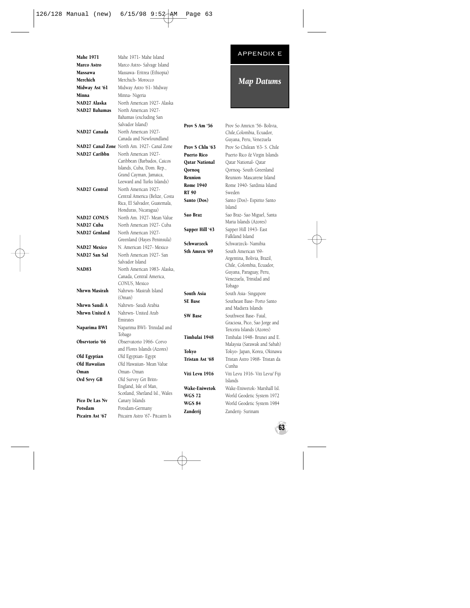|                     |                                                         |                        | <b>APPENDIX E</b>                                        |
|---------------------|---------------------------------------------------------|------------------------|----------------------------------------------------------|
| <b>Mahe 1971</b>    | Mahe 1971- Mahe Island                                  |                        |                                                          |
| Marco Astro         | Marco Astro- Salvage Island                             |                        |                                                          |
| Massawa             | Massawa- Eritrea (Ethiopia)                             |                        |                                                          |
| Merchich            | Merchich-Morocco                                        |                        | <b>Map Datums</b>                                        |
| Midway Ast '61      | Midway Astro '61- Midway                                |                        |                                                          |
| Minna               | Minna-Nigeria                                           |                        |                                                          |
| NAD27 Alaska        | North American 1927- Alaska                             |                        |                                                          |
| NAD27 Bahamas       | North American 1927-                                    |                        |                                                          |
|                     | Bahamas (excluding San                                  |                        |                                                          |
|                     | Salvador Island)                                        | Prov S Am '56          | Prov So Amricn '56- Bolivia,                             |
| NAD27 Canada        | North American 1927-<br>Canada and Newfoundland         |                        | Chile, Colombia, Ecuador,                                |
|                     |                                                         |                        | Guyana, Peru, Venezuela                                  |
|                     | NAD27 Canal Zone North Am. 1927- Canal Zone             | Prov S Chln '63        | Prov So Chilean '63- S. Chile                            |
| NAD27 Caribbn       | North American 1927-<br>Caribbean (Barbados, Caicos     | <b>Puerto Rico</b>     | Puerto Rico & Virgin Islands                             |
|                     | Islands, Cuba, Dom. Rep.,                               | <b>Qatar National</b>  | Qatar National- Qatar                                    |
|                     | Grand Cayman, Jamaica,                                  | Qornoq                 | Qornoq- South Greenland                                  |
|                     | Leeward and Turks Islands)                              | Reunion                | Reunion- Mascarene Island                                |
| NAD27 Central       | North American 1927-                                    | <b>Rome 1940</b>       | Rome 1940- Sardinia Island                               |
|                     | Central America (Belize, Costa                          | <b>RT 90</b>           | Sweden                                                   |
|                     | Rica, El Salvador, Guatemala,                           | Santo (Dos)            | Santo (Dos)- Espirito Santo                              |
|                     | Honduras, Nicaragua)                                    |                        | Island                                                   |
| <b>NAD27 CONUS</b>  | North Am. 1927- Mean Value                              | Sao Braz               | Sao Braz- Sao Miguel, Santa                              |
| NAD27 Cuba          | North American 1927- Cuba                               |                        | Maria Islands (Azores)                                   |
| NAD27 Grnland       | North American 1927-                                    | <b>Sapper Hill '43</b> | Sapper Hill 1943- East                                   |
|                     | Greenland (Hayes Peninsula)                             |                        | Falkland Island                                          |
| <b>NAD27 Mexico</b> | N. American 1927- Mexico                                | Schwarzeck             | Schwarzeck- Namibia                                      |
| NAD27 San Sal       | North American 1927- San                                | Sth Amrcn '69          | South American '69-                                      |
|                     | Salvador Island                                         |                        | Argentina, Bolivia, Brazil,<br>Chile, Colombia, Ecuador, |
| <b>NAD83</b>        | North American 1983- Alaska,                            |                        | Guyana, Paraguay, Peru,                                  |
|                     | Canada, Central America,                                |                        | Venezuela, Trinidad and                                  |
|                     | CONUS, Mexico                                           |                        | Tobago                                                   |
| Nhrwn Masirah       | Nahrwn- Masirah Island                                  | South Asia             | South Asia-Singapore                                     |
|                     | (Oman)                                                  | <b>SE</b> Base         | Southeast Base- Porto Santo                              |
| Nhrwn Saudi A       | Nahrwn- Saudi Arabia                                    |                        | and Madiera Islands                                      |
| Nhrwn United A      | Nahrwn- United Arab                                     | <b>SW Base</b>         | Southwest Base-Faial,                                    |
|                     | Emirates                                                |                        | Graciosa, Pico, Sao Jorge and                            |
| Naparima BWI        | Naparima BWI- Trinidad and                              |                        | Terceira Islands (Azores)                                |
|                     | Tobago                                                  | Timbalai 1948          | Timbalai 1948- Brunei and E.                             |
| Obsrvtorio '66      | Observatorio 1966- Corvo<br>and Flores Islands (Azores) |                        | Malaysia (Sarawak and Sabah)                             |
| Old Egyptian        |                                                         | Tokyo                  | Tokyo- Japan, Korea, Okinawa                             |
| Old Hawaiian        | Old Egyptian- Egypt                                     | Tristan Ast '68        | Tristan Astro 1968- Tristan da                           |
| Oman                | Old Hawaiian- Mean Value<br>Oman-Oman                   |                        | Cunha                                                    |
|                     |                                                         | Viti Levu 1916         | Viti Levu 1916- Viti Levu/ Fiji                          |
| Ord Srvy GB         | Old Survey Grt Britn-<br>England, Isle of Man,          |                        | Islands                                                  |
|                     | Scotland, Shetland Isl., Wales                          | Wake-Eniwetok          | Wake-Eniwetok- Marshall Isl.                             |
| Pico De Las Nv      | Canary Islands                                          | <b>WGS 72</b>          | World Geodetic System 1972                               |
| Potsdam             | Potsdam-Germany                                         | <b>WGS 84</b>          | World Geodetic System 1984                               |
| Ptcairn Ast '67     | Pitcairn Astro '67- Pitcairn Is                         | Zanderij               | Zanderij- Surinam                                        |
|                     |                                                         |                        |                                                          |

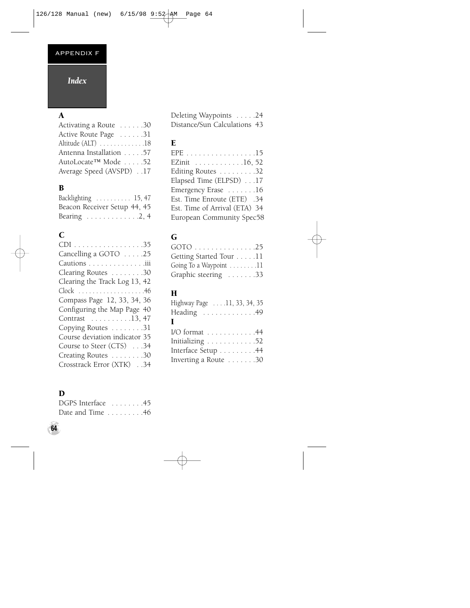#### APPENDIX F

#### *Index*

## A

| Activating a Route 30   |  |  |
|-------------------------|--|--|
| Active Route Page 31    |  |  |
| Altitude (ALT) 18       |  |  |
| Antenna Installation 57 |  |  |
| AutoLocate™ Mode 52     |  |  |
| Average Speed (AVSPD)17 |  |  |

#### B

| Backlighting  15, 47                       |  |
|--------------------------------------------|--|
| Beacon Receiver Setup 44, 45               |  |
| Bearing $\ldots \ldots \ldots \ldots 2, 4$ |  |

#### C

| CDI 35                        |
|-------------------------------|
| Cancelling a GOTO 25          |
| Cautions iii                  |
| Clearing Routes 30            |
| Clearing the Track Log 13, 42 |
|                               |
| Compass Page 12, 33, 34, 36   |
| Configuring the Map Page 40   |
| Contrast 13, 47               |
| Copying Routes 31             |
| Course deviation indicator 35 |
| Course to Steer (CTS) 34      |
| Creating Routes 30            |
| Crosstrack Error (XTK)34      |

#### D

| DGPS Interface 45                    |  |  |  |  |  |
|--------------------------------------|--|--|--|--|--|
| Date and Time $\dots \dots \dots 46$ |  |  |  |  |  |

Deleting Waypoints . . . . .24 Distance/Sun Calculations 43

#### E

| EPE 15                        |
|-------------------------------|
| EZinit 16, 52                 |
| Editing Routes 32             |
| Elapsed Time (ELPSD) 17       |
| Emergency Erase 16            |
| Est. Time Enroute (ETE) .34   |
| Est. Time of Arrival (ETA) 34 |
| European Community Spec58     |

#### G

| GOTO 25                                    |  |
|--------------------------------------------|--|
| Getting Started Tour 11                    |  |
| Going To a Waypoint $\dots \dots \dots 11$ |  |
| Graphic steering 33                        |  |

#### H

| Highway Page 11, 33, 34, 35 |  |  |  |  |
|-----------------------------|--|--|--|--|
| Heading 49                  |  |  |  |  |
| I                           |  |  |  |  |
| I/O format 44               |  |  |  |  |
| Initializing 52             |  |  |  |  |
| Interface Setup 44          |  |  |  |  |
| Inverting a Route 30        |  |  |  |  |
|                             |  |  |  |  |

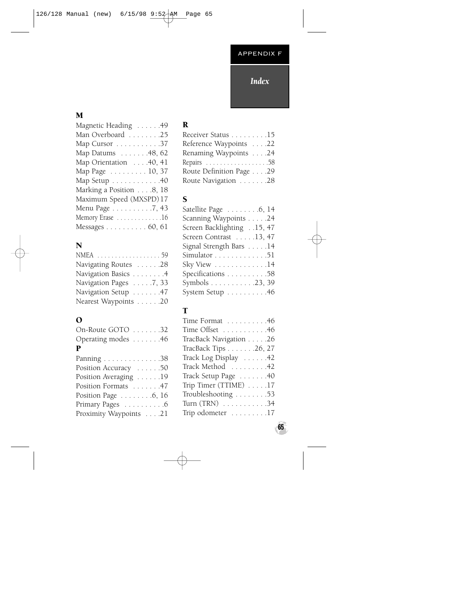### *Index*

#### M

#### N

| NMEA 59                |  |
|------------------------|--|
| Navigating Routes 28   |  |
| Navigation Basics 4    |  |
| Navigation Pages 7, 33 |  |
| Navigation Setup 47    |  |
| Nearest Waypoints 20   |  |

#### O

| On-Route GOTO 32                  |  |  |  |
|-----------------------------------|--|--|--|
| Operating modes $\dots \dots$ .46 |  |  |  |
| P                                 |  |  |  |

| Panning 38                        |
|-----------------------------------|
| Position Accuracy 50              |
| Position Averaging 19             |
| Position Formats 47               |
| Position Page $\dots \dots 6, 16$ |
| Primary Pages 6                   |
| Proximity Waypoints 21            |
|                                   |

### R

| Receiver Status 15       |  |  |
|--------------------------|--|--|
| Reference Waypoints 22   |  |  |
| Renaming Waypoints 24    |  |  |
|                          |  |  |
| Route Definition Page 29 |  |  |
| Route Navigation 28      |  |  |

#### S

| Satellite Page $\ldots \ldots 6, 14$ |
|--------------------------------------|
| Scanning Waypoints 24                |
| Screen Backlighting15, 47            |
| Screen Contrast 13, 47               |
| Signal Strength Bars 14              |
| Simulator 51                         |
| Sky View 14                          |
| Specifications 58                    |
| Symbols 23, 39                       |
| System Setup 46                      |

#### T

| Time Format 46         |
|------------------------|
| Time Offset 46         |
| TracBack Navigation 26 |
| TracBack Tips 26, 27   |
| Track Log Display 42   |
| Track Method  42       |
| Track Setup Page 40    |
| Trip Timer (TTIME) 17  |
| Troubleshooting 53     |
| Turn (TRN) 34          |
| Trip odometer 17       |
|                        |

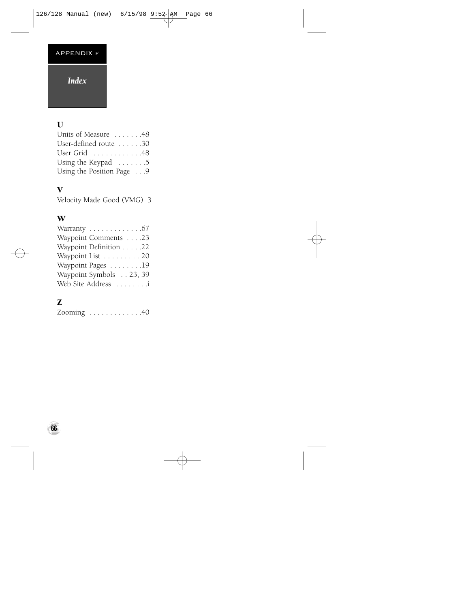#### APPENDIX f

#### *Index*

#### $\mathbf U$

| Units of Measure 48       |  |
|---------------------------|--|
| User-defined route 30     |  |
| User Grid 48              |  |
| Using the Keypad 5        |  |
| Using the Position Page 9 |  |

#### V

Velocity Made Good (VMG) 3

#### W

| Warranty $\ldots \ldots \ldots \ldots$ .67 |
|--------------------------------------------|
| Waypoint Comments 23                       |
| Waypoint Definition 22                     |
| Waypoint List 20                           |
| Waypoint Pages 19                          |
| Waypoint Symbols 23, 39                    |
| Web Site Address i                         |

## Z

| Zooming $\ldots \ldots \ldots \ldots 40$ |  |  |  |  |  |  |  |  |  |  |  |  |  |  |
|------------------------------------------|--|--|--|--|--|--|--|--|--|--|--|--|--|--|
|------------------------------------------|--|--|--|--|--|--|--|--|--|--|--|--|--|--|

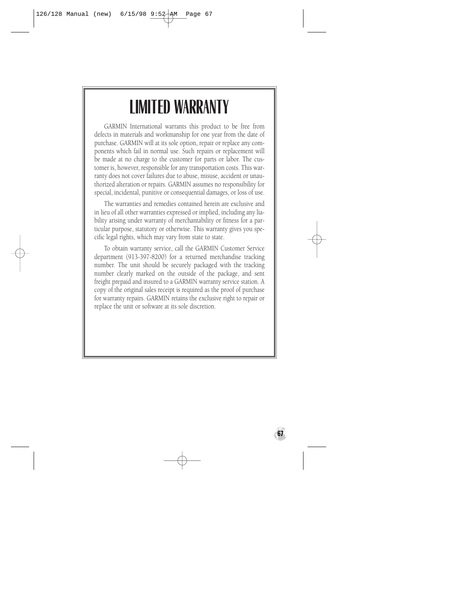# **LIMITED WARRANTY**

GARMIN International warrants this product to be free from defects in materials and workmanship for one year from the date of purchase. GARMIN will at its sole option, repair or replace any components which fail in normal use. Such repairs or replacement will be made at no charge to the customer for parts or labor. The customer is, however, responsible for any transportation costs. This warranty does not cover failures due to abuse, misuse, accident or unauthorized alteration or repairs. GARMIN assumes no responsibility for special, incidental, punitive or consequential damages, or loss of use.

The warranties and remedies contained herein are exclusive and in lieu of all other warranties expressed or implied, including any liability arising under warranty of merchantability or fitness for a particular purpose, statutory or otherwise. This warranty gives you specific legal rights, which may vary from state to state.

To obtain warranty service, call the GARMIN Customer Service department (913-397-8200) for a returned merchandise tracking number. The unit should be securely packaged with the tracking number clearly marked on the outside of the package, and sent freight prepaid and insured to a GARMIN warranty service station. A copy of the original sales receipt is required as the proof of purchase for warranty repairs. GARMIN retains the exclusive right to repair or replace the unit or software at its sole discretion.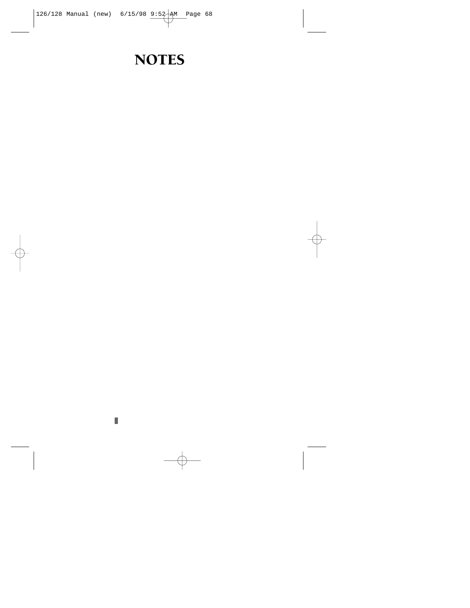## **NOTES**

I.